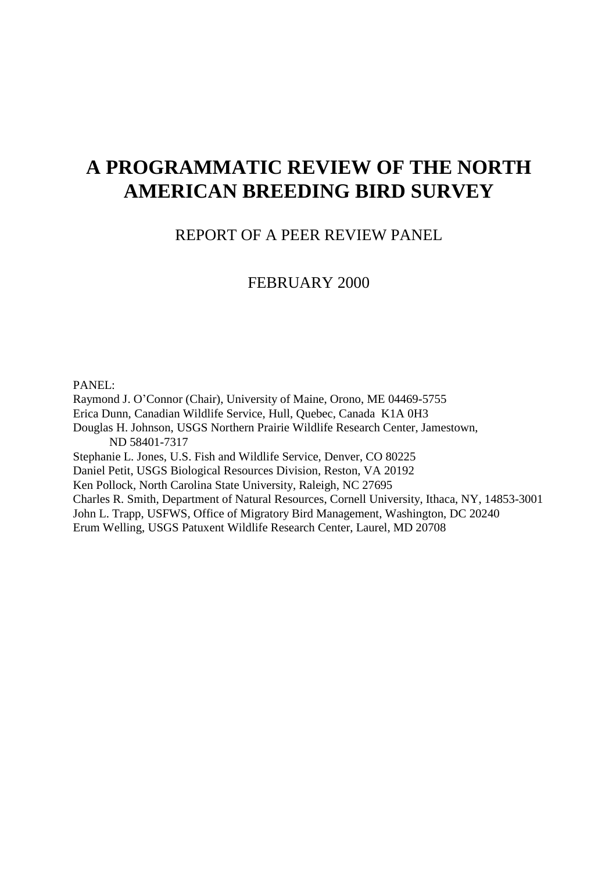# **A PROGRAMMATIC REVIEW OF THE NORTH AMERICAN BREEDING BIRD SURVEY**

# REPORT OF A PEER REVIEW PANEL

## FEBRUARY 2000

### PANEL:

Raymond J. O'Connor (Chair), University of Maine, Orono, ME 04469-5755 Erica Dunn, Canadian Wildlife Service, Hull, Quebec, Canada K1A 0H3 Douglas H. Johnson, USGS Northern Prairie Wildlife Research Center, Jamestown, ND 58401-7317 Stephanie L. Jones, U.S. Fish and Wildlife Service, Denver, CO 80225 Daniel Petit, USGS Biological Resources Division, Reston, VA 20192 Ken Pollock, North Carolina State University, Raleigh, NC 27695 Charles R. Smith, Department of Natural Resources, Cornell University, Ithaca, NY, 14853-3001 John L. Trapp, USFWS, Office of Migratory Bird Management, Washington, DC 20240 Erum Welling, USGS Patuxent Wildlife Research Center, Laurel, MD 20708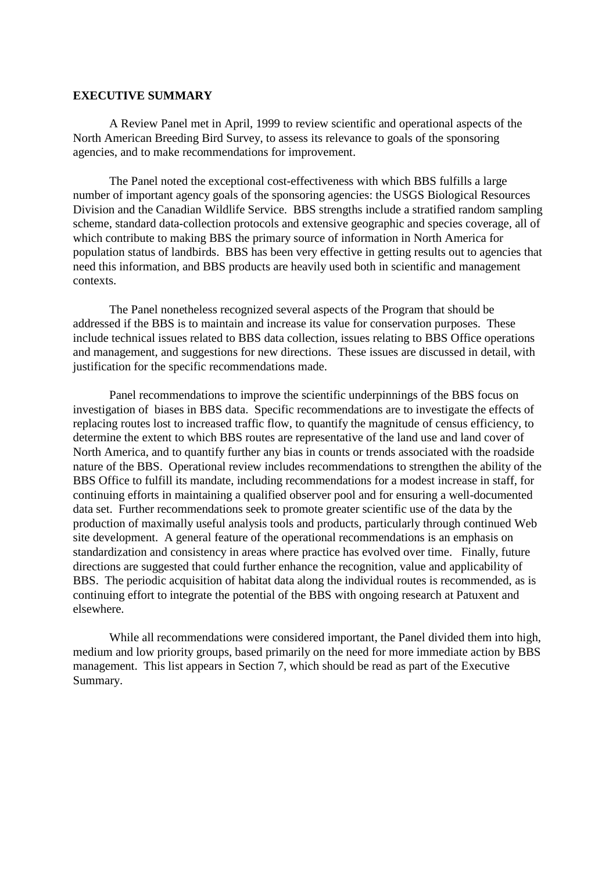#### **EXECUTIVE SUMMARY**

A Review Panel met in April, 1999 to review scientific and operational aspects of the North American Breeding Bird Survey, to assess its relevance to goals of the sponsoring agencies, and to make recommendations for improvement.

The Panel noted the exceptional cost-effectiveness with which BBS fulfills a large number of important agency goals of the sponsoring agencies: the USGS Biological Resources Division and the Canadian Wildlife Service. BBS strengths include a stratified random sampling scheme, standard data-collection protocols and extensive geographic and species coverage, all of which contribute to making BBS the primary source of information in North America for population status of landbirds. BBS has been very effective in getting results out to agencies that need this information, and BBS products are heavily used both in scientific and management contexts.

The Panel nonetheless recognized several aspects of the Program that should be addressed if the BBS is to maintain and increase its value for conservation purposes. These include technical issues related to BBS data collection, issues relating to BBS Office operations and management, and suggestions for new directions. These issues are discussed in detail, with justification for the specific recommendations made.

Panel recommendations to improve the scientific underpinnings of the BBS focus on investigation of biases in BBS data. Specific recommendations are to investigate the effects of replacing routes lost to increased traffic flow, to quantify the magnitude of census efficiency, to determine the extent to which BBS routes are representative of the land use and land cover of North America, and to quantify further any bias in counts or trends associated with the roadside nature of the BBS. Operational review includes recommendations to strengthen the ability of the BBS Office to fulfill its mandate, including recommendations for a modest increase in staff, for continuing efforts in maintaining a qualified observer pool and for ensuring a well-documented data set. Further recommendations seek to promote greater scientific use of the data by the production of maximally useful analysis tools and products, particularly through continued Web site development. A general feature of the operational recommendations is an emphasis on standardization and consistency in areas where practice has evolved over time. Finally, future directions are suggested that could further enhance the recognition, value and applicability of BBS. The periodic acquisition of habitat data along the individual routes is recommended, as is continuing effort to integrate the potential of the BBS with ongoing research at Patuxent and elsewhere.

While all recommendations were considered important, the Panel divided them into high, medium and low priority groups, based primarily on the need for more immediate action by BBS management. This list appears in Section 7, which should be read as part of the Executive Summary.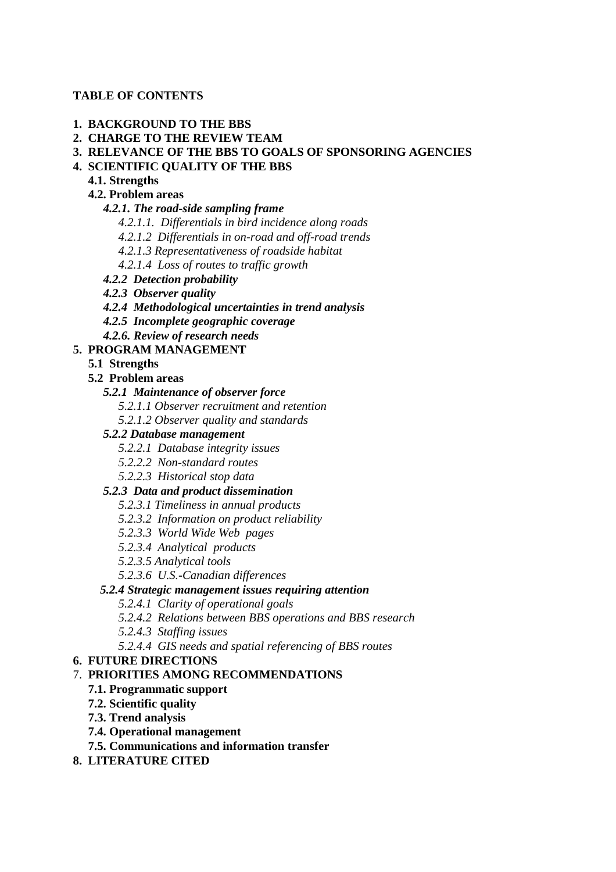### **TABLE OF CONTENTS**

### **1. BACKGROUND TO THE BBS**

- **2. CHARGE TO THE REVIEW TEAM**
- **3. RELEVANCE OF THE BBS TO GOALS OF SPONSORING AGENCIES**

### **4. SCIENTIFIC QUALITY OF THE BBS**

### **4.1. Strengths**

### **4.2. Problem areas**

 *4.2.1. The road-side sampling frame*

- *4.2.1.1. Differentials in bird incidence along roads*
- *4.2.1.2 Differentials in on-road and off-road trends*
- *4.2.1.3 Representativeness of roadside habitat*
- *4.2.1.4 Loss of routes to traffic growth*
- *4.2.2 Detection probability*
- *4.2.3 Observer quality*
- *4.2.4 Methodological uncertainties in trend analysis*
- *4.2.5 Incomplete geographic coverage*
- *4.2.6. Review of research needs*

### **5. PROGRAM MANAGEMENT**

- **5.1 Strengths**
- **5.2 Problem areas**

### *5.2.1 Maintenance of observer force*

- *5.2.1.1 Observer recruitment and retention*
- *5.2.1.2 Observer quality and standards*

### *5.2.2 Database management*

- *5.2.2.1 Database integrity issues*
- *5.2.2.2 Non-standard routes*
- *5.2.2.3 Historical stop data*

### *5.2.3 Data and product dissemination*

- *5.2.3.1 Timeliness in annual products*
- *5.2.3.2 Information on product reliability*
- *5.2.3.3 World Wide Web pages*
- *5.2.3.4 Analytical products*
- *5.2.3.5 Analytical tools*
- *5.2.3.6 U.S.-Canadian differences*

### *5.2.4 Strategic management issues requiring attention*

- *5.2.4.1 Clarity of operational goals*
- *5.2.4.2 Relations between BBS operations and BBS research*
- *5.2.4.3 Staffing issues*
- *5.2.4.4 GIS needs and spatial referencing of BBS routes*

### **6. FUTURE DIRECTIONS**

### 7. **PRIORITIES AMONG RECOMMENDATIONS**

### **7.1. Programmatic support**

- **7.2. Scientific quality**
- **7.3. Trend analysis**
- **7.4. Operational management**
- **7.5. Communications and information transfer**
- **8. LITERATURE CITED**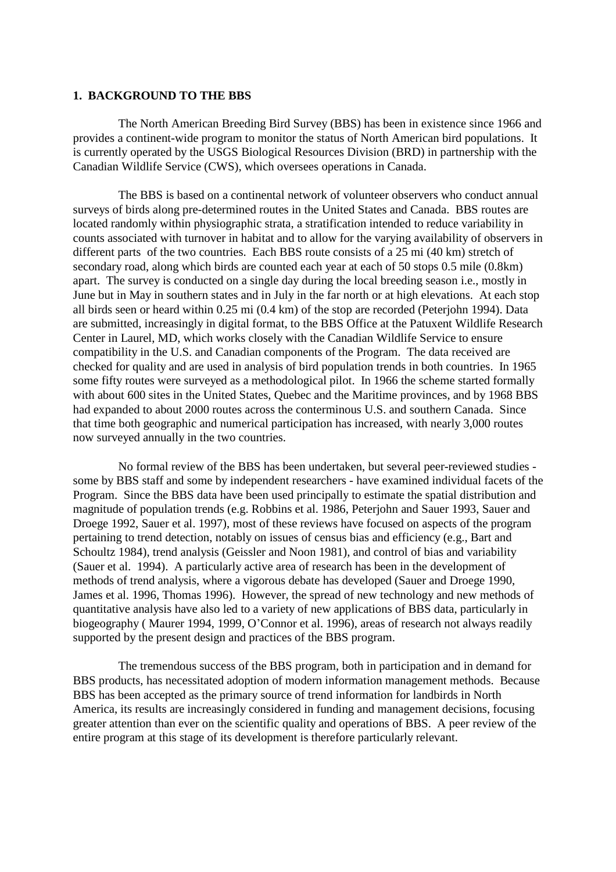#### **1. BACKGROUND TO THE BBS**

The North American Breeding Bird Survey (BBS) has been in existence since 1966 and provides a continent-wide program to monitor the status of North American bird populations. It is currently operated by the USGS Biological Resources Division (BRD) in partnership with the Canadian Wildlife Service (CWS), which oversees operations in Canada.

The BBS is based on a continental network of volunteer observers who conduct annual surveys of birds along pre-determined routes in the United States and Canada. BBS routes are located randomly within physiographic strata, a stratification intended to reduce variability in counts associated with turnover in habitat and to allow for the varying availability of observers in different parts of the two countries. Each BBS route consists of a 25 mi (40 km) stretch of secondary road, along which birds are counted each year at each of 50 stops 0.5 mile (0.8km) apart. The survey is conducted on a single day during the local breeding season i.e., mostly in June but in May in southern states and in July in the far north or at high elevations. At each stop all birds seen or heard within 0.25 mi (0.4 km) of the stop are recorded (Peterjohn 1994). Data are submitted, increasingly in digital format, to the BBS Office at the Patuxent Wildlife Research Center in Laurel, MD, which works closely with the Canadian Wildlife Service to ensure compatibility in the U.S. and Canadian components of the Program. The data received are checked for quality and are used in analysis of bird population trends in both countries. In 1965 some fifty routes were surveyed as a methodological pilot. In 1966 the scheme started formally with about 600 sites in the United States, Ouebec and the Maritime provinces, and by 1968 BBS had expanded to about 2000 routes across the conterminous U.S. and southern Canada. Since that time both geographic and numerical participation has increased, with nearly 3,000 routes now surveyed annually in the two countries.

No formal review of the BBS has been undertaken, but several peer-reviewed studies some by BBS staff and some by independent researchers - have examined individual facets of the Program. Since the BBS data have been used principally to estimate the spatial distribution and magnitude of population trends (e.g. Robbins et al. 1986, Peterjohn and Sauer 1993, Sauer and Droege 1992, Sauer et al. 1997), most of these reviews have focused on aspects of the program pertaining to trend detection, notably on issues of census bias and efficiency (e.g., Bart and Schoultz 1984), trend analysis (Geissler and Noon 1981), and control of bias and variability (Sauer et al. 1994). A particularly active area of research has been in the development of methods of trend analysis, where a vigorous debate has developed (Sauer and Droege 1990, James et al. 1996, Thomas 1996). However, the spread of new technology and new methods of quantitative analysis have also led to a variety of new applications of BBS data, particularly in biogeography ( Maurer 1994, 1999, O'Connor et al. 1996), areas of research not always readily supported by the present design and practices of the BBS program.

The tremendous success of the BBS program, both in participation and in demand for BBS products, has necessitated adoption of modern information management methods. Because BBS has been accepted as the primary source of trend information for landbirds in North America, its results are increasingly considered in funding and management decisions, focusing greater attention than ever on the scientific quality and operations of BBS. A peer review of the entire program at this stage of its development is therefore particularly relevant.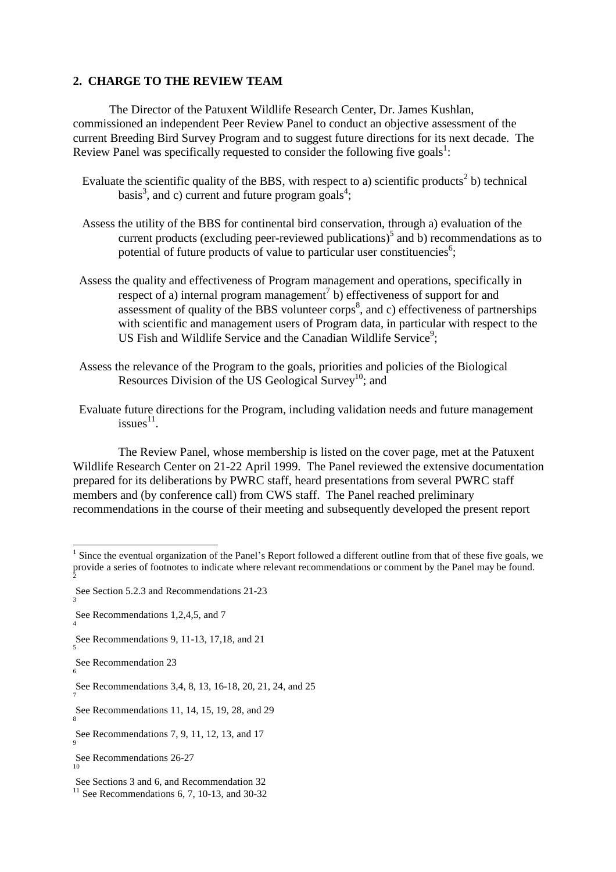#### **2. CHARGE TO THE REVIEW TEAM**

The Director of the Patuxent Wildlife Research Center, Dr. James Kushlan, commissioned an independent Peer Review Panel to conduct an objective assessment of the current Breeding Bird Survey Program and to suggest future directions for its next decade. The Review Panel was specifically requested to consider the following five goals<sup>1</sup>:

- Evaluate the scientific quality of the BBS, with respect to a) scientific products<sup>2</sup> b) technical basis<sup>3</sup>, and c) current and future program goals<sup>4</sup>;
- Assess the utility of the BBS for continental bird conservation, through a) evaluation of the current products (excluding peer-reviewed publications)<sup>5</sup> and b) recommendations as to potential of future products of value to particular user constituencies<sup>6</sup>;
- Assess the quality and effectiveness of Program management and operations, specifically in respect of a) internal program management<sup>7</sup> b) effectiveness of support for and assessment of quality of the BBS volunteer corps<sup>8</sup>, and c) effectiveness of partnerships with scientific and management users of Program data, in particular with respect to the US Fish and Wildlife Service and the Canadian Wildlife Service<sup>9</sup>;
- Assess the relevance of the Program to the goals, priorities and policies of the Biological Resources Division of the US Geological Survey<sup>10</sup>; and
- Evaluate future directions for the Program, including validation needs and future management issues $^{11}$ .

The Review Panel, whose membership is listed on the cover page, met at the Patuxent Wildlife Research Center on 21-22 April 1999. The Panel reviewed the extensive documentation prepared for its deliberations by PWRC staff, heard presentations from several PWRC staff members and (by conference call) from CWS staff. The Panel reached preliminary recommendations in the course of their meeting and subsequently developed the present report

 $\overline{a}$ 

 $<sup>1</sup>$  Since the eventual organization of the Panel's Report followed a different outline from that of these five goals, we</sup> provide a series of footnotes to indicate where relevant recommendations or comment by the Panel may be found.  $\overline{2}$ 

See Section 5.2.3 and Recommendations 21-23

See Recommendations 1,2,4,5, and 7

See Recommendations 9, 11-13, 17,18, and 21 5

See Recommendation 23

See Recommendations 3,4, 8, 13, 16-18, 20, 21, 24, and 25 7

See Recommendations 11, 14, 15, 19, 28, and 29 8

See Recommendations 7, 9, 11, 12, 13, and 17

See Recommendations 26-27 10

See Sections 3 and 6, and Recommendation 32

 $11$  See Recommendations 6, 7, 10-13, and 30-32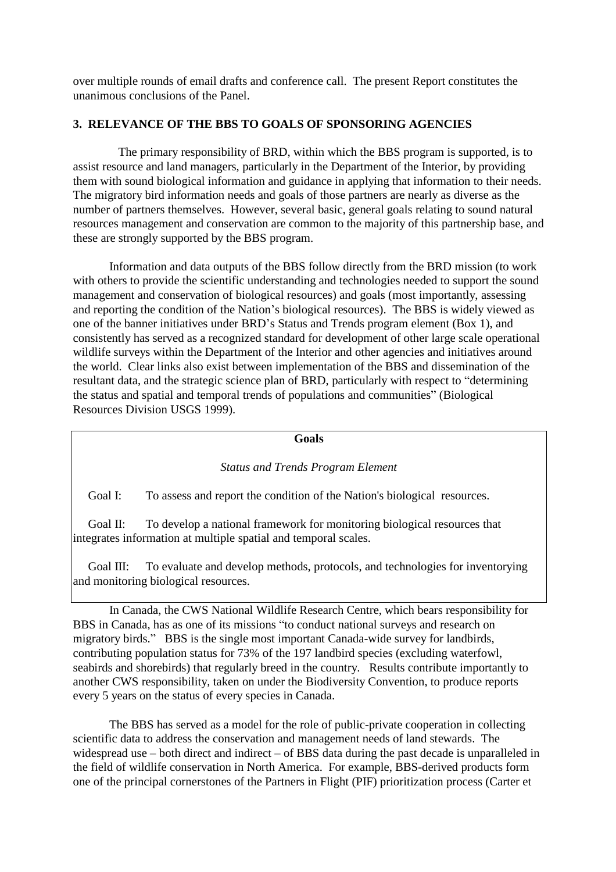over multiple rounds of email drafts and conference call. The present Report constitutes the unanimous conclusions of the Panel.

### **3. RELEVANCE OF THE BBS TO GOALS OF SPONSORING AGENCIES**

The primary responsibility of BRD, within which the BBS program is supported, is to assist resource and land managers, particularly in the Department of the Interior, by providing them with sound biological information and guidance in applying that information to their needs. The migratory bird information needs and goals of those partners are nearly as diverse as the number of partners themselves. However, several basic, general goals relating to sound natural resources management and conservation are common to the majority of this partnership base, and these are strongly supported by the BBS program.

Information and data outputs of the BBS follow directly from the BRD mission (to work with others to provide the scientific understanding and technologies needed to support the sound management and conservation of biological resources) and goals (most importantly, assessing and reporting the condition of the Nation's biological resources). The BBS is widely viewed as one of the banner initiatives under BRD's Status and Trends program element (Box 1), and consistently has served as a recognized standard for development of other large scale operational wildlife surveys within the Department of the Interior and other agencies and initiatives around the world. Clear links also exist between implementation of the BBS and dissemination of the resultant data, and the strategic science plan of BRD, particularly with respect to "determining the status and spatial and temporal trends of populations and communities" (Biological Resources Division USGS 1999).

#### **Goals**

### *Status and Trends Program Element*

Goal I: To assess and report the condition of the Nation's biological resources.

 Goal II: To develop a national framework for monitoring biological resources that integrates information at multiple spatial and temporal scales.

Goal III: To evaluate and develop methods, protocols, and technologies for inventorying and monitoring biological resources.

In Canada, the CWS National Wildlife Research Centre, which bears responsibility for BBS in Canada, has as one of its missions "to conduct national surveys and research on migratory birds." BBS is the single most important Canada-wide survey for landbirds, contributing population status for 73% of the 197 landbird species (excluding waterfowl, seabirds and shorebirds) that regularly breed in the country. Results contribute importantly to another CWS responsibility, taken on under the Biodiversity Convention, to produce reports every 5 years on the status of every species in Canada.

The BBS has served as a model for the role of public-private cooperation in collecting scientific data to address the conservation and management needs of land stewards. The widespread use – both direct and indirect – of BBS data during the past decade is unparalleled in the field of wildlife conservation in North America. For example, BBS-derived products form one of the principal cornerstones of the Partners in Flight (PIF) prioritization process (Carter et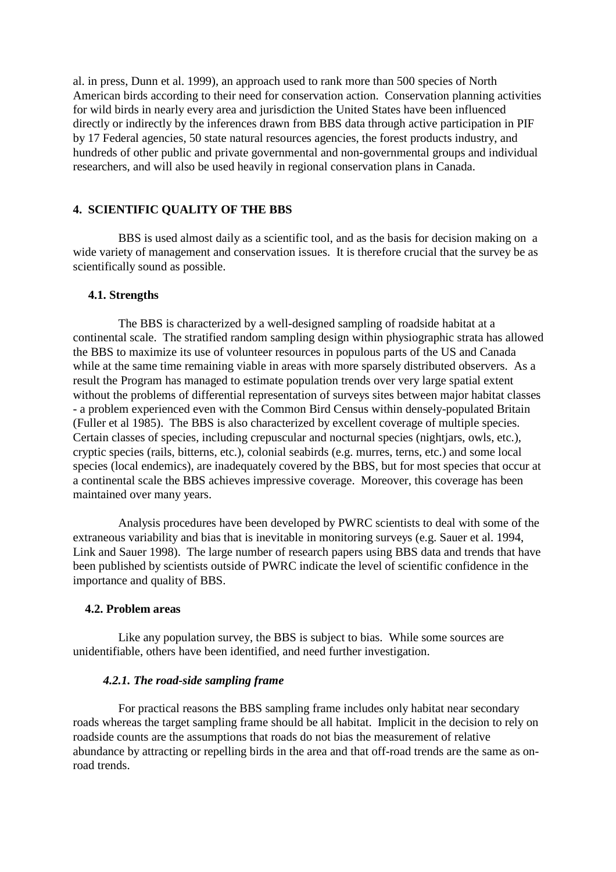al. in press, Dunn et al. 1999), an approach used to rank more than 500 species of North American birds according to their need for conservation action. Conservation planning activities for wild birds in nearly every area and jurisdiction the United States have been influenced directly or indirectly by the inferences drawn from BBS data through active participation in PIF by 17 Federal agencies, 50 state natural resources agencies, the forest products industry, and hundreds of other public and private governmental and non-governmental groups and individual researchers, and will also be used heavily in regional conservation plans in Canada.

### **4. SCIENTIFIC QUALITY OF THE BBS**

BBS is used almost daily as a scientific tool, and as the basis for decision making on a wide variety of management and conservation issues. It is therefore crucial that the survey be as scientifically sound as possible.

#### **4.1. Strengths**

The BBS is characterized by a well-designed sampling of roadside habitat at a continental scale. The stratified random sampling design within physiographic strata has allowed the BBS to maximize its use of volunteer resources in populous parts of the US and Canada while at the same time remaining viable in areas with more sparsely distributed observers. As a result the Program has managed to estimate population trends over very large spatial extent without the problems of differential representation of surveys sites between major habitat classes - a problem experienced even with the Common Bird Census within densely-populated Britain (Fuller et al 1985). The BBS is also characterized by excellent coverage of multiple species. Certain classes of species, including crepuscular and nocturnal species (nightjars, owls, etc.), cryptic species (rails, bitterns, etc.), colonial seabirds (e.g. murres, terns, etc.) and some local species (local endemics), are inadequately covered by the BBS, but for most species that occur at a continental scale the BBS achieves impressive coverage. Moreover, this coverage has been maintained over many years.

Analysis procedures have been developed by PWRC scientists to deal with some of the extraneous variability and bias that is inevitable in monitoring surveys (e.g. Sauer et al. 1994, Link and Sauer 1998). The large number of research papers using BBS data and trends that have been published by scientists outside of PWRC indicate the level of scientific confidence in the importance and quality of BBS.

#### **4.2. Problem areas**

Like any population survey, the BBS is subject to bias. While some sources are unidentifiable, others have been identified, and need further investigation.

#### *4.2.1. The road-side sampling frame*

For practical reasons the BBS sampling frame includes only habitat near secondary roads whereas the target sampling frame should be all habitat. Implicit in the decision to rely on roadside counts are the assumptions that roads do not bias the measurement of relative abundance by attracting or repelling birds in the area and that off-road trends are the same as onroad trends.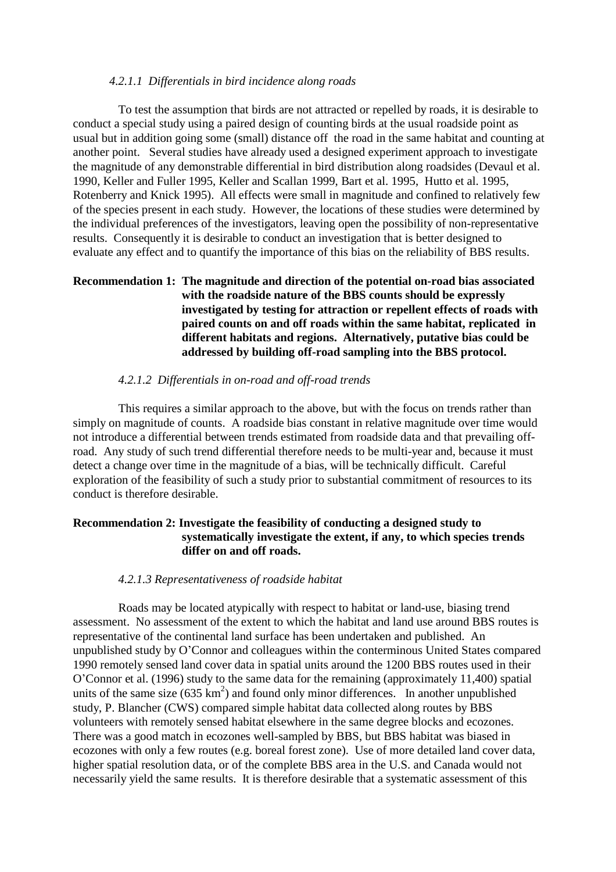#### *4.2.1.1 Differentials in bird incidence along roads*

To test the assumption that birds are not attracted or repelled by roads, it is desirable to conduct a special study using a paired design of counting birds at the usual roadside point as usual but in addition going some (small) distance off the road in the same habitat and counting at another point. Several studies have already used a designed experiment approach to investigate the magnitude of any demonstrable differential in bird distribution along roadsides (Devaul et al. 1990, Keller and Fuller 1995, Keller and Scallan 1999, Bart et al. 1995, Hutto et al. 1995, Rotenberry and Knick 1995). All effects were small in magnitude and confined to relatively few of the species present in each study. However, the locations of these studies were determined by the individual preferences of the investigators, leaving open the possibility of non-representative results. Consequently it is desirable to conduct an investigation that is better designed to evaluate any effect and to quantify the importance of this bias on the reliability of BBS results.

### **Recommendation 1: The magnitude and direction of the potential on-road bias associated with the roadside nature of the BBS counts should be expressly investigated by testing for attraction or repellent effects of roads with paired counts on and off roads within the same habitat, replicated in different habitats and regions. Alternatively, putative bias could be addressed by building off-road sampling into the BBS protocol.**

#### *4.2.1.2 Differentials in on-road and off-road trends*

This requires a similar approach to the above, but with the focus on trends rather than simply on magnitude of counts. A roadside bias constant in relative magnitude over time would not introduce a differential between trends estimated from roadside data and that prevailing offroad. Any study of such trend differential therefore needs to be multi-year and, because it must detect a change over time in the magnitude of a bias, will be technically difficult. Careful exploration of the feasibility of such a study prior to substantial commitment of resources to its conduct is therefore desirable.

### **Recommendation 2: Investigate the feasibility of conducting a designed study to systematically investigate the extent, if any, to which species trends differ on and off roads.**

#### *4.2.1.3 Representativeness of roadside habitat*

Roads may be located atypically with respect to habitat or land-use, biasing trend assessment. No assessment of the extent to which the habitat and land use around BBS routes is representative of the continental land surface has been undertaken and published. An unpublished study by O'Connor and colleagues within the conterminous United States compared 1990 remotely sensed land cover data in spatial units around the 1200 BBS routes used in their O'Connor et al. (1996) study to the same data for the remaining (approximately 11,400) spatial units of the same size  $(635 \text{ km}^2)$  and found only minor differences. In another unpublished study, P. Blancher (CWS) compared simple habitat data collected along routes by BBS volunteers with remotely sensed habitat elsewhere in the same degree blocks and ecozones. There was a good match in ecozones well-sampled by BBS, but BBS habitat was biased in ecozones with only a few routes (e.g. boreal forest zone). Use of more detailed land cover data, higher spatial resolution data, or of the complete BBS area in the U.S. and Canada would not necessarily yield the same results. It is therefore desirable that a systematic assessment of this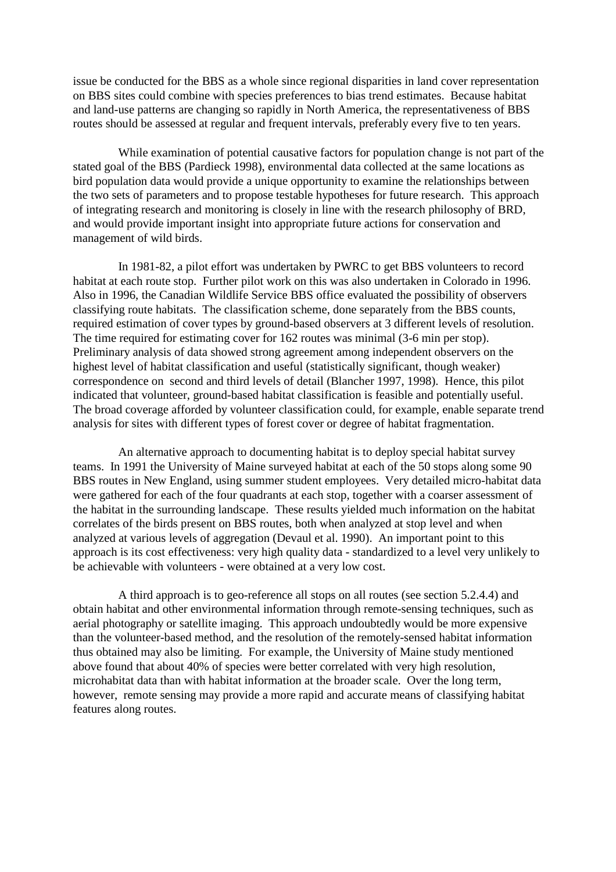issue be conducted for the BBS as a whole since regional disparities in land cover representation on BBS sites could combine with species preferences to bias trend estimates. Because habitat and land-use patterns are changing so rapidly in North America, the representativeness of BBS routes should be assessed at regular and frequent intervals, preferably every five to ten years.

While examination of potential causative factors for population change is not part of the stated goal of the BBS (Pardieck 1998), environmental data collected at the same locations as bird population data would provide a unique opportunity to examine the relationships between the two sets of parameters and to propose testable hypotheses for future research. This approach of integrating research and monitoring is closely in line with the research philosophy of BRD, and would provide important insight into appropriate future actions for conservation and management of wild birds.

In 1981-82, a pilot effort was undertaken by PWRC to get BBS volunteers to record habitat at each route stop. Further pilot work on this was also undertaken in Colorado in 1996. Also in 1996, the Canadian Wildlife Service BBS office evaluated the possibility of observers classifying route habitats. The classification scheme, done separately from the BBS counts, required estimation of cover types by ground-based observers at 3 different levels of resolution. The time required for estimating cover for 162 routes was minimal (3-6 min per stop). Preliminary analysis of data showed strong agreement among independent observers on the highest level of habitat classification and useful (statistically significant, though weaker) correspondence on second and third levels of detail (Blancher 1997, 1998). Hence, this pilot indicated that volunteer, ground-based habitat classification is feasible and potentially useful. The broad coverage afforded by volunteer classification could, for example, enable separate trend analysis for sites with different types of forest cover or degree of habitat fragmentation.

An alternative approach to documenting habitat is to deploy special habitat survey teams. In 1991 the University of Maine surveyed habitat at each of the 50 stops along some 90 BBS routes in New England, using summer student employees. Very detailed micro-habitat data were gathered for each of the four quadrants at each stop, together with a coarser assessment of the habitat in the surrounding landscape. These results yielded much information on the habitat correlates of the birds present on BBS routes, both when analyzed at stop level and when analyzed at various levels of aggregation (Devaul et al. 1990). An important point to this approach is its cost effectiveness: very high quality data - standardized to a level very unlikely to be achievable with volunteers - were obtained at a very low cost.

A third approach is to geo-reference all stops on all routes (see section 5.2.4.4) and obtain habitat and other environmental information through remote-sensing techniques, such as aerial photography or satellite imaging. This approach undoubtedly would be more expensive than the volunteer-based method, and the resolution of the remotely-sensed habitat information thus obtained may also be limiting. For example, the University of Maine study mentioned above found that about 40% of species were better correlated with very high resolution, microhabitat data than with habitat information at the broader scale. Over the long term, however, remote sensing may provide a more rapid and accurate means of classifying habitat features along routes.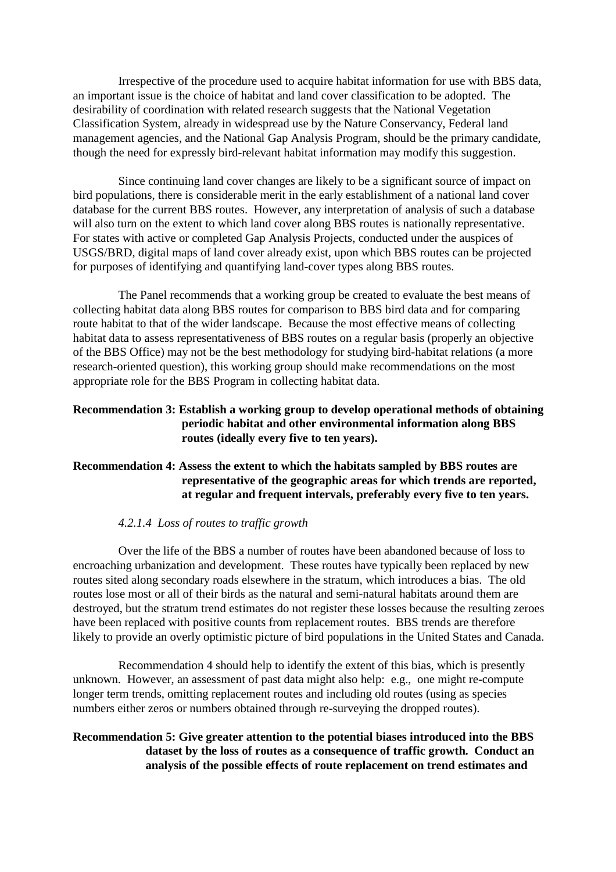Irrespective of the procedure used to acquire habitat information for use with BBS data, an important issue is the choice of habitat and land cover classification to be adopted. The desirability of coordination with related research suggests that the National Vegetation Classification System, already in widespread use by the Nature Conservancy, Federal land management agencies, and the National Gap Analysis Program, should be the primary candidate, though the need for expressly bird-relevant habitat information may modify this suggestion.

Since continuing land cover changes are likely to be a significant source of impact on bird populations, there is considerable merit in the early establishment of a national land cover database for the current BBS routes. However, any interpretation of analysis of such a database will also turn on the extent to which land cover along BBS routes is nationally representative. For states with active or completed Gap Analysis Projects, conducted under the auspices of USGS/BRD, digital maps of land cover already exist, upon which BBS routes can be projected for purposes of identifying and quantifying land-cover types along BBS routes.

The Panel recommends that a working group be created to evaluate the best means of collecting habitat data along BBS routes for comparison to BBS bird data and for comparing route habitat to that of the wider landscape. Because the most effective means of collecting habitat data to assess representativeness of BBS routes on a regular basis (properly an objective of the BBS Office) may not be the best methodology for studying bird-habitat relations (a more research-oriented question), this working group should make recommendations on the most appropriate role for the BBS Program in collecting habitat data.

### **Recommendation 3: Establish a working group to develop operational methods of obtaining periodic habitat and other environmental information along BBS routes (ideally every five to ten years).**

### **Recommendation 4: Assess the extent to which the habitats sampled by BBS routes are representative of the geographic areas for which trends are reported, at regular and frequent intervals, preferably every five to ten years.**

### *4.2.1.4 Loss of routes to traffic growth*

Over the life of the BBS a number of routes have been abandoned because of loss to encroaching urbanization and development. These routes have typically been replaced by new routes sited along secondary roads elsewhere in the stratum, which introduces a bias. The old routes lose most or all of their birds as the natural and semi-natural habitats around them are destroyed, but the stratum trend estimates do not register these losses because the resulting zeroes have been replaced with positive counts from replacement routes. BBS trends are therefore likely to provide an overly optimistic picture of bird populations in the United States and Canada.

Recommendation 4 should help to identify the extent of this bias, which is presently unknown. However, an assessment of past data might also help: e.g., one might re-compute longer term trends, omitting replacement routes and including old routes (using as species numbers either zeros or numbers obtained through re-surveying the dropped routes).

### **Recommendation 5: Give greater attention to the potential biases introduced into the BBS dataset by the loss of routes as a consequence of traffic growth. Conduct an analysis of the possible effects of route replacement on trend estimates and**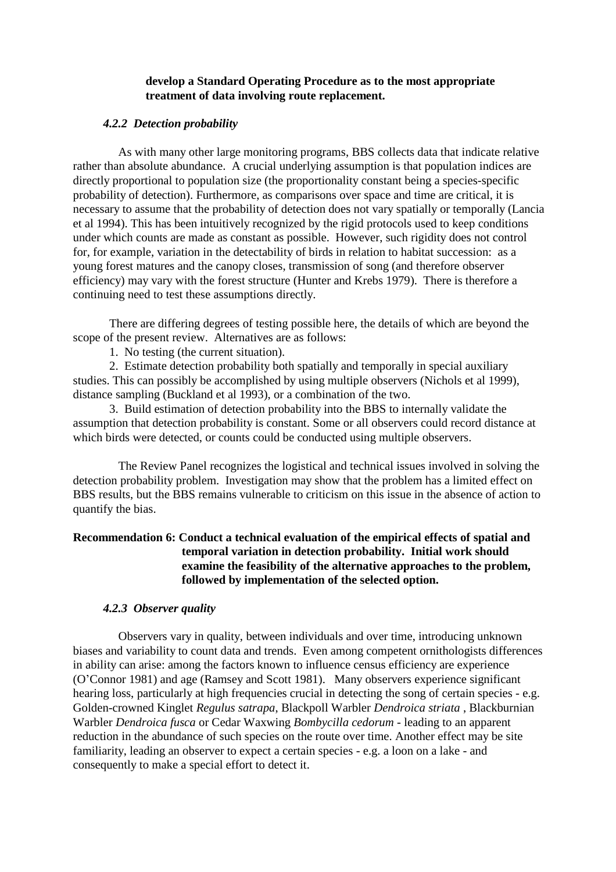#### **develop a Standard Operating Procedure as to the most appropriate treatment of data involving route replacement.**

### *4.2.2 Detection probability*

As with many other large monitoring programs, BBS collects data that indicate relative rather than absolute abundance. A crucial underlying assumption is that population indices are directly proportional to population size (the proportionality constant being a species-specific probability of detection). Furthermore, as comparisons over space and time are critical, it is necessary to assume that the probability of detection does not vary spatially or temporally (Lancia et al 1994). This has been intuitively recognized by the rigid protocols used to keep conditions under which counts are made as constant as possible. However, such rigidity does not control for, for example, variation in the detectability of birds in relation to habitat succession: as a young forest matures and the canopy closes, transmission of song (and therefore observer efficiency) may vary with the forest structure (Hunter and Krebs 1979). There is therefore a continuing need to test these assumptions directly.

There are differing degrees of testing possible here, the details of which are beyond the scope of the present review. Alternatives are as follows:

1. No testing (the current situation).

2. Estimate detection probability both spatially and temporally in special auxiliary studies. This can possibly be accomplished by using multiple observers (Nichols et al 1999), distance sampling (Buckland et al 1993), or a combination of the two.

3. Build estimation of detection probability into the BBS to internally validate the assumption that detection probability is constant. Some or all observers could record distance at which birds were detected, or counts could be conducted using multiple observers.

The Review Panel recognizes the logistical and technical issues involved in solving the detection probability problem. Investigation may show that the problem has a limited effect on BBS results, but the BBS remains vulnerable to criticism on this issue in the absence of action to quantify the bias.

### **Recommendation 6: Conduct a technical evaluation of the empirical effects of spatial and temporal variation in detection probability. Initial work should examine the feasibility of the alternative approaches to the problem, followed by implementation of the selected option.**

### *4.2.3 Observer quality*

Observers vary in quality, between individuals and over time, introducing unknown biases and variability to count data and trends. Even among competent ornithologists differences in ability can arise: among the factors known to influence census efficiency are experience (O'Connor 1981) and age (Ramsey and Scott 1981). Many observers experience significant hearing loss, particularly at high frequencies crucial in detecting the song of certain species - e.g. Golden-crowned Kinglet *Regulus satrapa*, Blackpoll Warbler *Dendroica striata* , Blackburnian Warbler *Dendroica fusca* or Cedar Waxwing *Bombycilla cedorum* - leading to an apparent reduction in the abundance of such species on the route over time. Another effect may be site familiarity, leading an observer to expect a certain species - e.g. a loon on a lake - and consequently to make a special effort to detect it.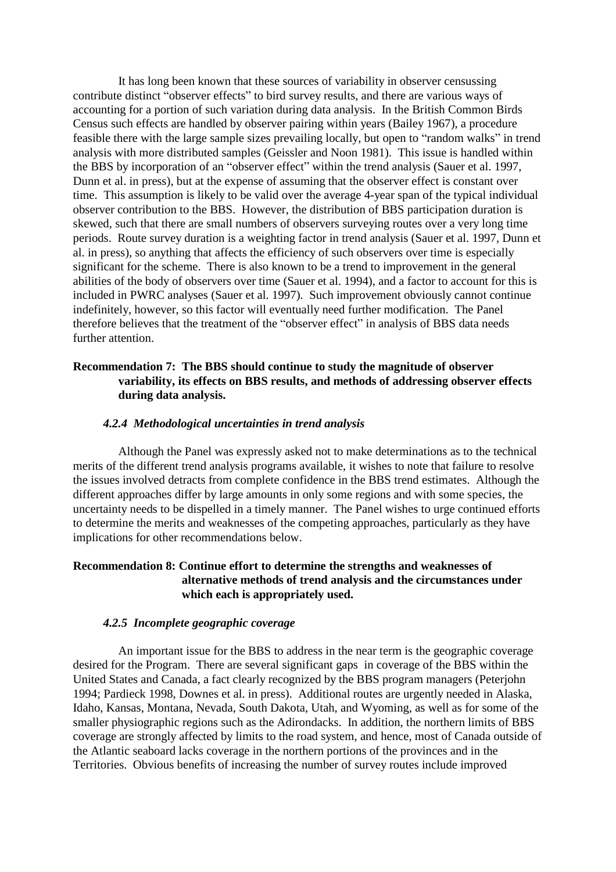It has long been known that these sources of variability in observer censussing contribute distinct "observer effects" to bird survey results, and there are various ways of accounting for a portion of such variation during data analysis. In the British Common Birds Census such effects are handled by observer pairing within years (Bailey 1967), a procedure feasible there with the large sample sizes prevailing locally, but open to "random walks" in trend analysis with more distributed samples (Geissler and Noon 1981). This issue is handled within the BBS by incorporation of an "observer effect" within the trend analysis (Sauer et al. 1997, Dunn et al. in press), but at the expense of assuming that the observer effect is constant over time. This assumption is likely to be valid over the average 4-year span of the typical individual observer contribution to the BBS. However, the distribution of BBS participation duration is skewed, such that there are small numbers of observers surveying routes over a very long time periods. Route survey duration is a weighting factor in trend analysis (Sauer et al. 1997, Dunn et al. in press), so anything that affects the efficiency of such observers over time is especially significant for the scheme. There is also known to be a trend to improvement in the general abilities of the body of observers over time (Sauer et al. 1994), and a factor to account for this is included in PWRC analyses (Sauer et al. 1997). Such improvement obviously cannot continue indefinitely, however, so this factor will eventually need further modification. The Panel therefore believes that the treatment of the "observer effect" in analysis of BBS data needs further attention.

### **Recommendation 7: The BBS should continue to study the magnitude of observer variability, its effects on BBS results, and methods of addressing observer effects during data analysis.**

#### *4.2.4 Methodological uncertainties in trend analysis*

Although the Panel was expressly asked not to make determinations as to the technical merits of the different trend analysis programs available, it wishes to note that failure to resolve the issues involved detracts from complete confidence in the BBS trend estimates. Although the different approaches differ by large amounts in only some regions and with some species, the uncertainty needs to be dispelled in a timely manner. The Panel wishes to urge continued efforts to determine the merits and weaknesses of the competing approaches, particularly as they have implications for other recommendations below.

### **Recommendation 8: Continue effort to determine the strengths and weaknesses of alternative methods of trend analysis and the circumstances under which each is appropriately used.**

#### *4.2.5 Incomplete geographic coverage*

An important issue for the BBS to address in the near term is the geographic coverage desired for the Program. There are several significant gaps in coverage of the BBS within the United States and Canada, a fact clearly recognized by the BBS program managers (Peterjohn 1994; Pardieck 1998, Downes et al. in press). Additional routes are urgently needed in Alaska, Idaho, Kansas, Montana, Nevada, South Dakota, Utah, and Wyoming, as well as for some of the smaller physiographic regions such as the Adirondacks. In addition, the northern limits of BBS coverage are strongly affected by limits to the road system, and hence, most of Canada outside of the Atlantic seaboard lacks coverage in the northern portions of the provinces and in the Territories. Obvious benefits of increasing the number of survey routes include improved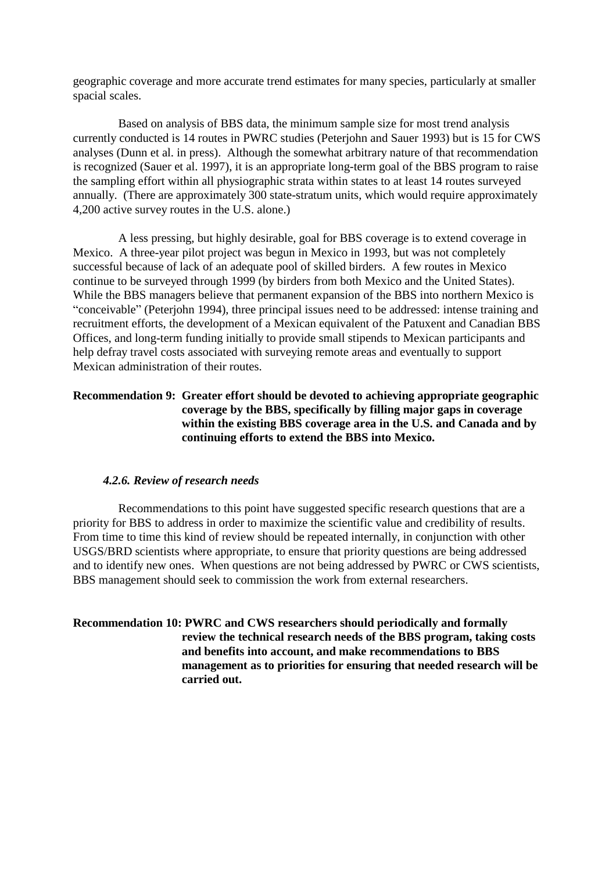geographic coverage and more accurate trend estimates for many species, particularly at smaller spacial scales.

Based on analysis of BBS data, the minimum sample size for most trend analysis currently conducted is 14 routes in PWRC studies (Peterjohn and Sauer 1993) but is 15 for CWS analyses (Dunn et al. in press). Although the somewhat arbitrary nature of that recommendation is recognized (Sauer et al. 1997), it is an appropriate long-term goal of the BBS program to raise the sampling effort within all physiographic strata within states to at least 14 routes surveyed annually. (There are approximately 300 state-stratum units, which would require approximately 4,200 active survey routes in the U.S. alone.)

A less pressing, but highly desirable, goal for BBS coverage is to extend coverage in Mexico. A three-year pilot project was begun in Mexico in 1993, but was not completely successful because of lack of an adequate pool of skilled birders. A few routes in Mexico continue to be surveyed through 1999 (by birders from both Mexico and the United States). While the BBS managers believe that permanent expansion of the BBS into northern Mexico is "conceivable" (Peterjohn 1994), three principal issues need to be addressed: intense training and recruitment efforts, the development of a Mexican equivalent of the Patuxent and Canadian BBS Offices, and long-term funding initially to provide small stipends to Mexican participants and help defray travel costs associated with surveying remote areas and eventually to support Mexican administration of their routes.

### **Recommendation 9: Greater effort should be devoted to achieving appropriate geographic coverage by the BBS, specifically by filling major gaps in coverage within the existing BBS coverage area in the U.S. and Canada and by continuing efforts to extend the BBS into Mexico.**

#### *4.2.6. Review of research needs*

Recommendations to this point have suggested specific research questions that are a priority for BBS to address in order to maximize the scientific value and credibility of results. From time to time this kind of review should be repeated internally, in conjunction with other USGS/BRD scientists where appropriate, to ensure that priority questions are being addressed and to identify new ones. When questions are not being addressed by PWRC or CWS scientists, BBS management should seek to commission the work from external researchers.

### **Recommendation 10: PWRC and CWS researchers should periodically and formally review the technical research needs of the BBS program, taking costs and benefits into account, and make recommendations to BBS management as to priorities for ensuring that needed research will be carried out.**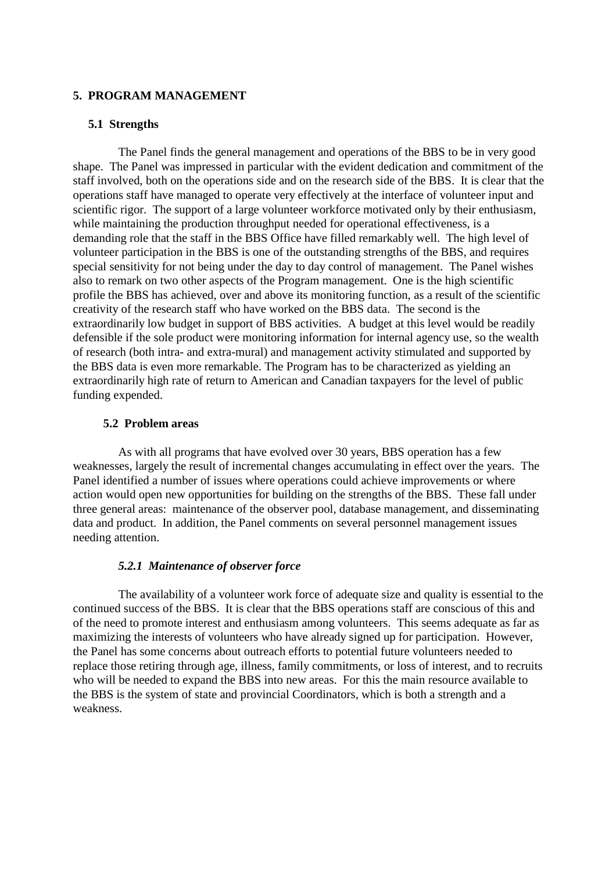#### **5. PROGRAM MANAGEMENT**

#### **5.1 Strengths**

The Panel finds the general management and operations of the BBS to be in very good shape. The Panel was impressed in particular with the evident dedication and commitment of the staff involved, both on the operations side and on the research side of the BBS. It is clear that the operations staff have managed to operate very effectively at the interface of volunteer input and scientific rigor. The support of a large volunteer workforce motivated only by their enthusiasm, while maintaining the production throughput needed for operational effectiveness, is a demanding role that the staff in the BBS Office have filled remarkably well. The high level of volunteer participation in the BBS is one of the outstanding strengths of the BBS, and requires special sensitivity for not being under the day to day control of management. The Panel wishes also to remark on two other aspects of the Program management. One is the high scientific profile the BBS has achieved, over and above its monitoring function, as a result of the scientific creativity of the research staff who have worked on the BBS data. The second is the extraordinarily low budget in support of BBS activities. A budget at this level would be readily defensible if the sole product were monitoring information for internal agency use, so the wealth of research (both intra- and extra-mural) and management activity stimulated and supported by the BBS data is even more remarkable. The Program has to be characterized as yielding an extraordinarily high rate of return to American and Canadian taxpayers for the level of public funding expended.

#### **5.2 Problem areas**

As with all programs that have evolved over 30 years, BBS operation has a few weaknesses, largely the result of incremental changes accumulating in effect over the years. The Panel identified a number of issues where operations could achieve improvements or where action would open new opportunities for building on the strengths of the BBS. These fall under three general areas: maintenance of the observer pool, database management, and disseminating data and product. In addition, the Panel comments on several personnel management issues needing attention.

#### *5.2.1 Maintenance of observer force*

The availability of a volunteer work force of adequate size and quality is essential to the continued success of the BBS. It is clear that the BBS operations staff are conscious of this and of the need to promote interest and enthusiasm among volunteers. This seems adequate as far as maximizing the interests of volunteers who have already signed up for participation. However, the Panel has some concerns about outreach efforts to potential future volunteers needed to replace those retiring through age, illness, family commitments, or loss of interest, and to recruits who will be needed to expand the BBS into new areas. For this the main resource available to the BBS is the system of state and provincial Coordinators, which is both a strength and a weakness.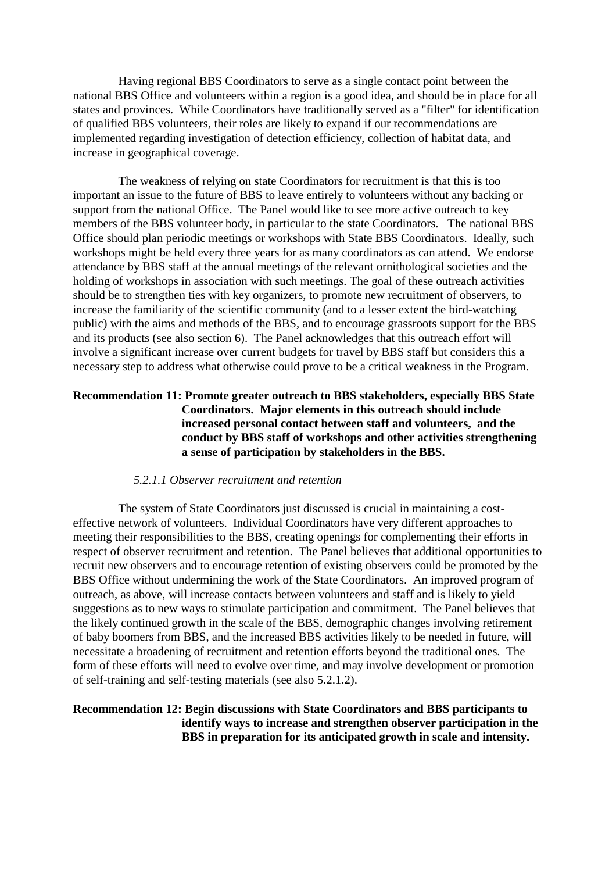Having regional BBS Coordinators to serve as a single contact point between the national BBS Office and volunteers within a region is a good idea, and should be in place for all states and provinces. While Coordinators have traditionally served as a "filter" for identification of qualified BBS volunteers, their roles are likely to expand if our recommendations are implemented regarding investigation of detection efficiency, collection of habitat data, and increase in geographical coverage.

The weakness of relying on state Coordinators for recruitment is that this is too important an issue to the future of BBS to leave entirely to volunteers without any backing or support from the national Office. The Panel would like to see more active outreach to key members of the BBS volunteer body, in particular to the state Coordinators. The national BBS Office should plan periodic meetings or workshops with State BBS Coordinators. Ideally, such workshops might be held every three years for as many coordinators as can attend. We endorse attendance by BBS staff at the annual meetings of the relevant ornithological societies and the holding of workshops in association with such meetings. The goal of these outreach activities should be to strengthen ties with key organizers, to promote new recruitment of observers, to increase the familiarity of the scientific community (and to a lesser extent the bird-watching public) with the aims and methods of the BBS, and to encourage grassroots support for the BBS and its products (see also section 6). The Panel acknowledges that this outreach effort will involve a significant increase over current budgets for travel by BBS staff but considers this a necessary step to address what otherwise could prove to be a critical weakness in the Program.

### **Recommendation 11: Promote greater outreach to BBS stakeholders, especially BBS State Coordinators. Major elements in this outreach should include increased personal contact between staff and volunteers, and the conduct by BBS staff of workshops and other activities strengthening a sense of participation by stakeholders in the BBS.**

#### *5.2.1.1 Observer recruitment and retention*

The system of State Coordinators just discussed is crucial in maintaining a costeffective network of volunteers. Individual Coordinators have very different approaches to meeting their responsibilities to the BBS, creating openings for complementing their efforts in respect of observer recruitment and retention. The Panel believes that additional opportunities to recruit new observers and to encourage retention of existing observers could be promoted by the BBS Office without undermining the work of the State Coordinators. An improved program of outreach, as above, will increase contacts between volunteers and staff and is likely to yield suggestions as to new ways to stimulate participation and commitment. The Panel believes that the likely continued growth in the scale of the BBS, demographic changes involving retirement of baby boomers from BBS, and the increased BBS activities likely to be needed in future, will necessitate a broadening of recruitment and retention efforts beyond the traditional ones. The form of these efforts will need to evolve over time, and may involve development or promotion of self-training and self-testing materials (see also 5.2.1.2).

#### **Recommendation 12: Begin discussions with State Coordinators and BBS participants to identify ways to increase and strengthen observer participation in the BBS in preparation for its anticipated growth in scale and intensity.**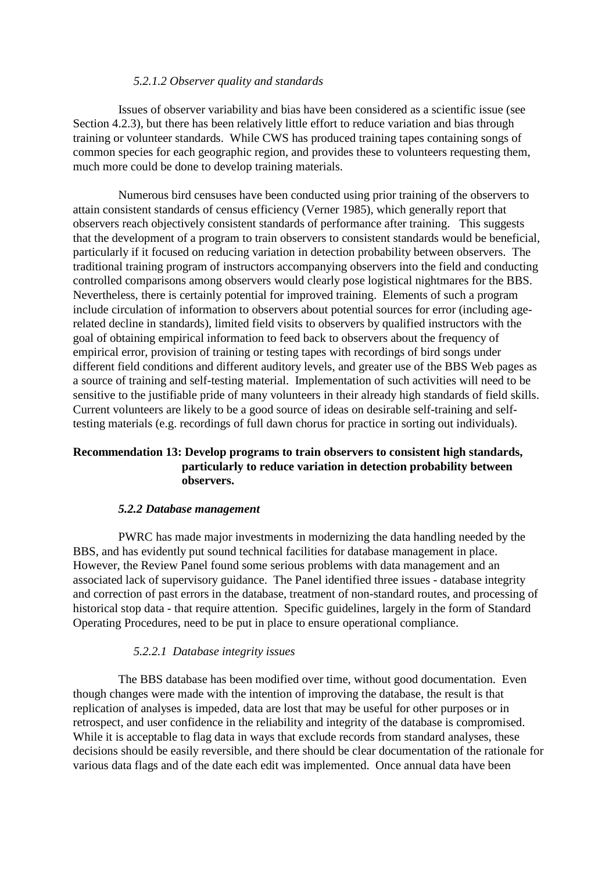#### *5.2.1.2 Observer quality and standards*

Issues of observer variability and bias have been considered as a scientific issue (see Section 4.2.3), but there has been relatively little effort to reduce variation and bias through training or volunteer standards. While CWS has produced training tapes containing songs of common species for each geographic region, and provides these to volunteers requesting them, much more could be done to develop training materials.

Numerous bird censuses have been conducted using prior training of the observers to attain consistent standards of census efficiency (Verner 1985), which generally report that observers reach objectively consistent standards of performance after training. This suggests that the development of a program to train observers to consistent standards would be beneficial, particularly if it focused on reducing variation in detection probability between observers. The traditional training program of instructors accompanying observers into the field and conducting controlled comparisons among observers would clearly pose logistical nightmares for the BBS. Nevertheless, there is certainly potential for improved training. Elements of such a program include circulation of information to observers about potential sources for error (including agerelated decline in standards), limited field visits to observers by qualified instructors with the goal of obtaining empirical information to feed back to observers about the frequency of empirical error, provision of training or testing tapes with recordings of bird songs under different field conditions and different auditory levels, and greater use of the BBS Web pages as a source of training and self-testing material. Implementation of such activities will need to be sensitive to the justifiable pride of many volunteers in their already high standards of field skills. Current volunteers are likely to be a good source of ideas on desirable self-training and selftesting materials (e.g. recordings of full dawn chorus for practice in sorting out individuals).

### **Recommendation 13: Develop programs to train observers to consistent high standards, particularly to reduce variation in detection probability between observers.**

#### *5.2.2 Database management*

PWRC has made major investments in modernizing the data handling needed by the BBS, and has evidently put sound technical facilities for database management in place. However, the Review Panel found some serious problems with data management and an associated lack of supervisory guidance. The Panel identified three issues - database integrity and correction of past errors in the database, treatment of non-standard routes, and processing of historical stop data - that require attention. Specific guidelines, largely in the form of Standard Operating Procedures, need to be put in place to ensure operational compliance.

#### *5.2.2.1 Database integrity issues*

The BBS database has been modified over time, without good documentation. Even though changes were made with the intention of improving the database, the result is that replication of analyses is impeded, data are lost that may be useful for other purposes or in retrospect, and user confidence in the reliability and integrity of the database is compromised. While it is acceptable to flag data in ways that exclude records from standard analyses, these decisions should be easily reversible, and there should be clear documentation of the rationale for various data flags and of the date each edit was implemented. Once annual data have been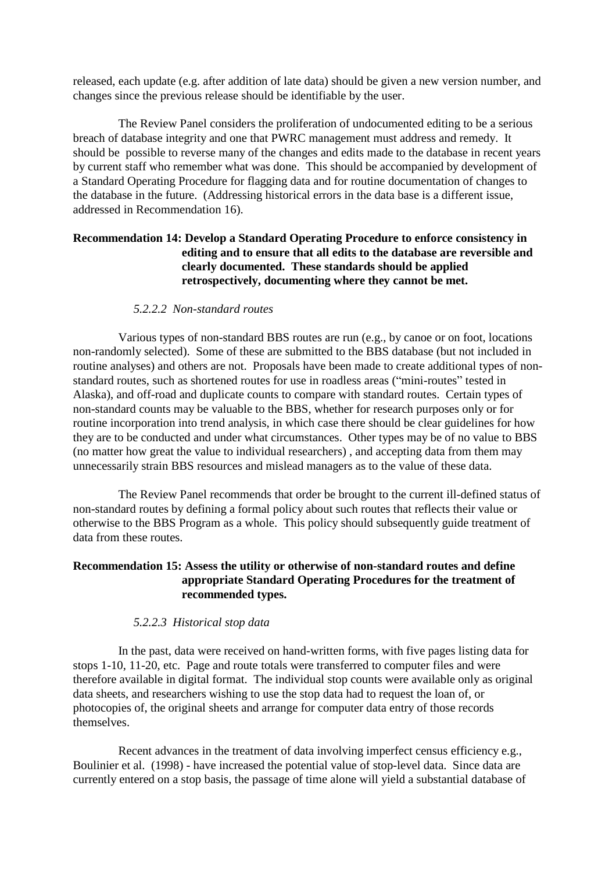released, each update (e.g. after addition of late data) should be given a new version number, and changes since the previous release should be identifiable by the user.

The Review Panel considers the proliferation of undocumented editing to be a serious breach of database integrity and one that PWRC management must address and remedy. It should be possible to reverse many of the changes and edits made to the database in recent years by current staff who remember what was done. This should be accompanied by development of a Standard Operating Procedure for flagging data and for routine documentation of changes to the database in the future. (Addressing historical errors in the data base is a different issue, addressed in Recommendation 16).

### **Recommendation 14: Develop a Standard Operating Procedure to enforce consistency in editing and to ensure that all edits to the database are reversible and clearly documented. These standards should be applied retrospectively, documenting where they cannot be met.**

#### *5.2.2.2 Non-standard routes*

Various types of non-standard BBS routes are run (e.g., by canoe or on foot, locations non-randomly selected). Some of these are submitted to the BBS database (but not included in routine analyses) and others are not. Proposals have been made to create additional types of nonstandard routes, such as shortened routes for use in roadless areas ("mini-routes" tested in Alaska), and off-road and duplicate counts to compare with standard routes. Certain types of non-standard counts may be valuable to the BBS, whether for research purposes only or for routine incorporation into trend analysis, in which case there should be clear guidelines for how they are to be conducted and under what circumstances. Other types may be of no value to BBS (no matter how great the value to individual researchers) , and accepting data from them may unnecessarily strain BBS resources and mislead managers as to the value of these data.

The Review Panel recommends that order be brought to the current ill-defined status of non-standard routes by defining a formal policy about such routes that reflects their value or otherwise to the BBS Program as a whole. This policy should subsequently guide treatment of data from these routes.

### **Recommendation 15: Assess the utility or otherwise of non-standard routes and define appropriate Standard Operating Procedures for the treatment of recommended types.**

#### *5.2.2.3 Historical stop data*

In the past, data were received on hand-written forms, with five pages listing data for stops 1-10, 11-20, etc. Page and route totals were transferred to computer files and were therefore available in digital format. The individual stop counts were available only as original data sheets, and researchers wishing to use the stop data had to request the loan of, or photocopies of, the original sheets and arrange for computer data entry of those records themselves.

Recent advances in the treatment of data involving imperfect census efficiency e.g., Boulinier et al. (1998) - have increased the potential value of stop-level data. Since data are currently entered on a stop basis, the passage of time alone will yield a substantial database of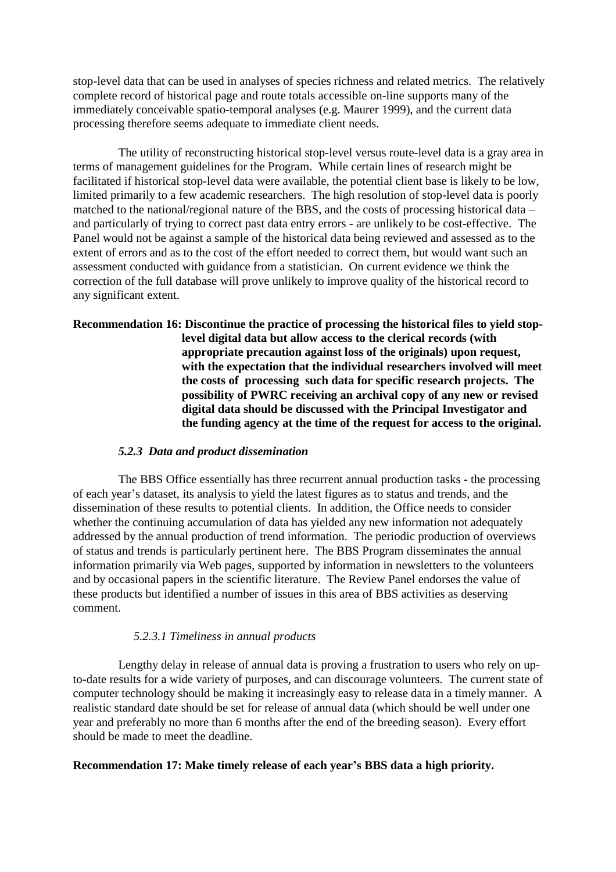stop-level data that can be used in analyses of species richness and related metrics. The relatively complete record of historical page and route totals accessible on-line supports many of the immediately conceivable spatio-temporal analyses (e.g. Maurer 1999), and the current data processing therefore seems adequate to immediate client needs.

The utility of reconstructing historical stop-level versus route-level data is a gray area in terms of management guidelines for the Program. While certain lines of research might be facilitated if historical stop-level data were available, the potential client base is likely to be low, limited primarily to a few academic researchers. The high resolution of stop-level data is poorly matched to the national/regional nature of the BBS, and the costs of processing historical data – and particularly of trying to correct past data entry errors - are unlikely to be cost-effective. The Panel would not be against a sample of the historical data being reviewed and assessed as to the extent of errors and as to the cost of the effort needed to correct them, but would want such an assessment conducted with guidance from a statistician. On current evidence we think the correction of the full database will prove unlikely to improve quality of the historical record to any significant extent.

### **Recommendation 16: Discontinue the practice of processing the historical files to yield stoplevel digital data but allow access to the clerical records (with appropriate precaution against loss of the originals) upon request, with the expectation that the individual researchers involved will meet the costs of processing such data for specific research projects. The possibility of PWRC receiving an archival copy of any new or revised digital data should be discussed with the Principal Investigator and the funding agency at the time of the request for access to the original.**

### *5.2.3 Data and product dissemination*

The BBS Office essentially has three recurrent annual production tasks - the processing of each year's dataset, its analysis to yield the latest figures as to status and trends, and the dissemination of these results to potential clients. In addition, the Office needs to consider whether the continuing accumulation of data has yielded any new information not adequately addressed by the annual production of trend information. The periodic production of overviews of status and trends is particularly pertinent here. The BBS Program disseminates the annual information primarily via Web pages, supported by information in newsletters to the volunteers and by occasional papers in the scientific literature. The Review Panel endorses the value of these products but identified a number of issues in this area of BBS activities as deserving comment.

### *5.2.3.1 Timeliness in annual products*

Lengthy delay in release of annual data is proving a frustration to users who rely on upto-date results for a wide variety of purposes, and can discourage volunteers. The current state of computer technology should be making it increasingly easy to release data in a timely manner. A realistic standard date should be set for release of annual data (which should be well under one year and preferably no more than 6 months after the end of the breeding season). Every effort should be made to meet the deadline.

### **Recommendation 17: Make timely release of each year's BBS data a high priority.**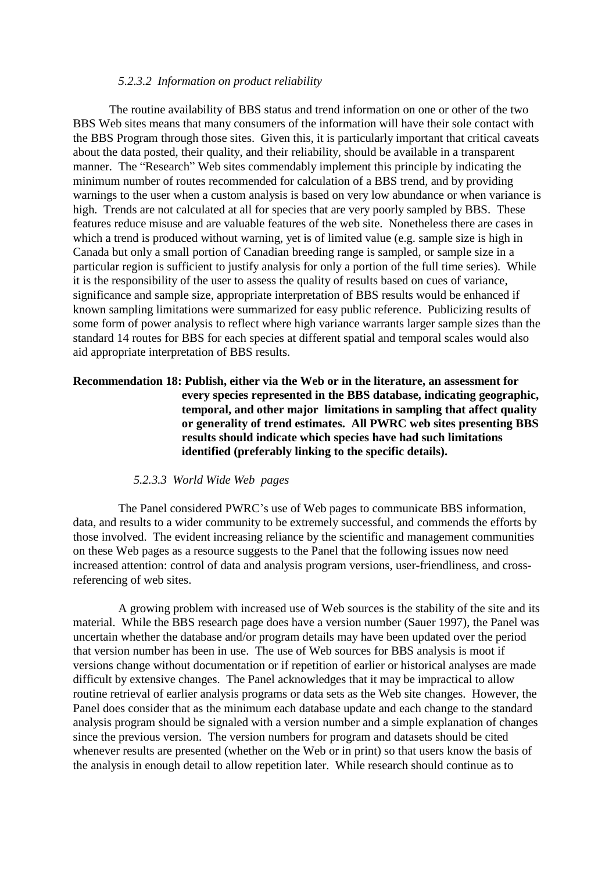#### *5.2.3.2 Information on product reliability*

The routine availability of BBS status and trend information on one or other of the two BBS Web sites means that many consumers of the information will have their sole contact with the BBS Program through those sites. Given this, it is particularly important that critical caveats about the data posted, their quality, and their reliability, should be available in a transparent manner. The "Research" Web sites commendably implement this principle by indicating the minimum number of routes recommended for calculation of a BBS trend, and by providing warnings to the user when a custom analysis is based on very low abundance or when variance is high. Trends are not calculated at all for species that are very poorly sampled by BBS. These features reduce misuse and are valuable features of the web site. Nonetheless there are cases in which a trend is produced without warning, yet is of limited value (e.g. sample size is high in Canada but only a small portion of Canadian breeding range is sampled, or sample size in a particular region is sufficient to justify analysis for only a portion of the full time series). While it is the responsibility of the user to assess the quality of results based on cues of variance, significance and sample size, appropriate interpretation of BBS results would be enhanced if known sampling limitations were summarized for easy public reference. Publicizing results of some form of power analysis to reflect where high variance warrants larger sample sizes than the standard 14 routes for BBS for each species at different spatial and temporal scales would also aid appropriate interpretation of BBS results.

### **Recommendation 18: Publish, either via the Web or in the literature, an assessment for every species represented in the BBS database, indicating geographic, temporal, and other major limitations in sampling that affect quality or generality of trend estimates. All PWRC web sites presenting BBS results should indicate which species have had such limitations identified (preferably linking to the specific details).**

#### *5.2.3.3 World Wide Web pages*

The Panel considered PWRC's use of Web pages to communicate BBS information, data, and results to a wider community to be extremely successful, and commends the efforts by those involved. The evident increasing reliance by the scientific and management communities on these Web pages as a resource suggests to the Panel that the following issues now need increased attention: control of data and analysis program versions, user-friendliness, and crossreferencing of web sites.

A growing problem with increased use of Web sources is the stability of the site and its material. While the BBS research page does have a version number (Sauer 1997), the Panel was uncertain whether the database and/or program details may have been updated over the period that version number has been in use. The use of Web sources for BBS analysis is moot if versions change without documentation or if repetition of earlier or historical analyses are made difficult by extensive changes. The Panel acknowledges that it may be impractical to allow routine retrieval of earlier analysis programs or data sets as the Web site changes. However, the Panel does consider that as the minimum each database update and each change to the standard analysis program should be signaled with a version number and a simple explanation of changes since the previous version. The version numbers for program and datasets should be cited whenever results are presented (whether on the Web or in print) so that users know the basis of the analysis in enough detail to allow repetition later. While research should continue as to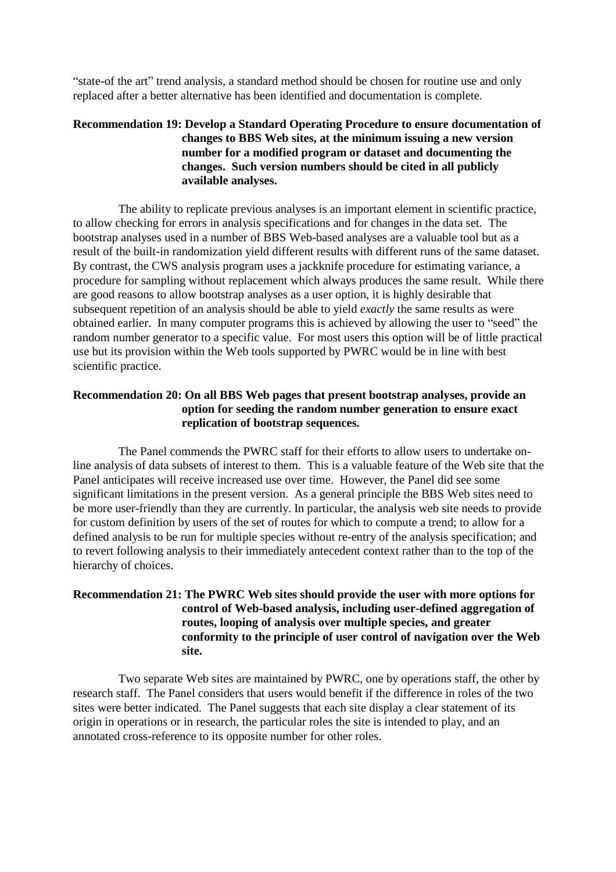"state-of the art" trend analysis, a standard method should be chosen for routine use and only replaced after a better alternative has been identified and documentation is complete.

### **Recommendation 19: Develop a Standard Operating Procedure to ensure documentation of changes to BBS Web sites, at the minimum issuing a new version number for a modified program or dataset and documenting the changes. Such version numbers should be cited in all publicly available analyses.**

The ability to replicate previous analyses is an important element in scientific practice, to allow checking for errors in analysis specifications and for changes in the data set. The bootstrap analyses used in a number of BBS Web-based analyses are a valuable tool but as a result of the built-in randomization yield different results with different runs of the same dataset. By contrast, the CWS analysis program uses a jackknife procedure for estimating variance, a procedure for sampling without replacement which always produces the same result. While there are good reasons to allow bootstrap analyses as a user option, it is highly desirable that subsequent repetition of an analysis should be able to yield *exactly* the same results as were obtained earlier. In many computer programs this is achieved by allowing the user to "seed" the random number generator to a specific value. For most users this option will be of little practical use but its provision within the Web tools supported by PWRC would be in line with best scientific practice.

### **Recommendation 20: On all BBS Web pages that present bootstrap analyses, provide an option for seeding the random number generation to ensure exact replication of bootstrap sequences.**

The Panel commends the PWRC staff for their efforts to allow users to undertake online analysis of data subsets of interest to them. This is a valuable feature of the Web site that the Panel anticipates will receive increased use over time. However, the Panel did see some significant limitations in the present version. As a general principle the BBS Web sites need to be more user-friendly than they are currently. In particular, the analysis web site needs to provide for custom definition by users of the set of routes for which to compute a trend; to allow for a defined analysis to be run for multiple species without re-entry of the analysis specification; and to revert following analysis to their immediately antecedent context rather than to the top of the hierarchy of choices.

### **Recommendation 21: The PWRC Web sites should provide the user with more options for control of Web-based analysis, including user-defined aggregation of routes, looping of analysis over multiple species, and greater conformity to the principle of user control of navigation over the Web site.**

Two separate Web sites are maintained by PWRC, one by operations staff, the other by research staff. The Panel considers that users would benefit if the difference in roles of the two sites were better indicated. The Panel suggests that each site display a clear statement of its origin in operations or in research, the particular roles the site is intended to play, and an annotated cross-reference to its opposite number for other roles.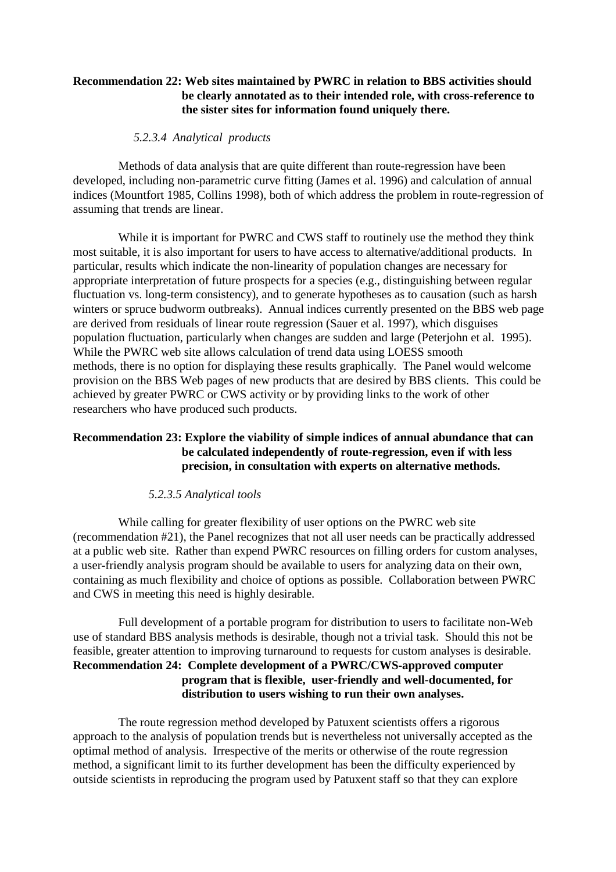### **Recommendation 22: Web sites maintained by PWRC in relation to BBS activities should be clearly annotated as to their intended role, with cross-reference to the sister sites for information found uniquely there.**

#### *5.2.3.4 Analytical products*

Methods of data analysis that are quite different than route-regression have been developed, including non-parametric curve fitting (James et al. 1996) and calculation of annual indices (Mountfort 1985, Collins 1998), both of which address the problem in route-regression of assuming that trends are linear.

While it is important for PWRC and CWS staff to routinely use the method they think most suitable, it is also important for users to have access to alternative/additional products. In particular, results which indicate the non-linearity of population changes are necessary for appropriate interpretation of future prospects for a species (e.g., distinguishing between regular fluctuation vs. long-term consistency), and to generate hypotheses as to causation (such as harsh winters or spruce budworm outbreaks). Annual indices currently presented on the BBS web page are derived from residuals of linear route regression (Sauer et al. 1997), which disguises population fluctuation, particularly when changes are sudden and large (Peterjohn et al. 1995). While the PWRC web site allows calculation of trend data using LOESS smooth methods, there is no option for displaying these results graphically. The Panel would welcome provision on the BBS Web pages of new products that are desired by BBS clients. This could be achieved by greater PWRC or CWS activity or by providing links to the work of other researchers who have produced such products.

### **Recommendation 23: Explore the viability of simple indices of annual abundance that can be calculated independently of route-regression, even if with less precision, in consultation with experts on alternative methods.**

### *5.2.3.5 Analytical tools*

While calling for greater flexibility of user options on the PWRC web site (recommendation #21), the Panel recognizes that not all user needs can be practically addressed at a public web site. Rather than expend PWRC resources on filling orders for custom analyses, a user-friendly analysis program should be available to users for analyzing data on their own, containing as much flexibility and choice of options as possible. Collaboration between PWRC and CWS in meeting this need is highly desirable.

Full development of a portable program for distribution to users to facilitate non-Web use of standard BBS analysis methods is desirable, though not a trivial task. Should this not be feasible, greater attention to improving turnaround to requests for custom analyses is desirable. **Recommendation 24: Complete development of a PWRC/CWS-approved computer program that is flexible, user-friendly and well-documented, for distribution to users wishing to run their own analyses.**

The route regression method developed by Patuxent scientists offers a rigorous approach to the analysis of population trends but is nevertheless not universally accepted as the optimal method of analysis. Irrespective of the merits or otherwise of the route regression method, a significant limit to its further development has been the difficulty experienced by outside scientists in reproducing the program used by Patuxent staff so that they can explore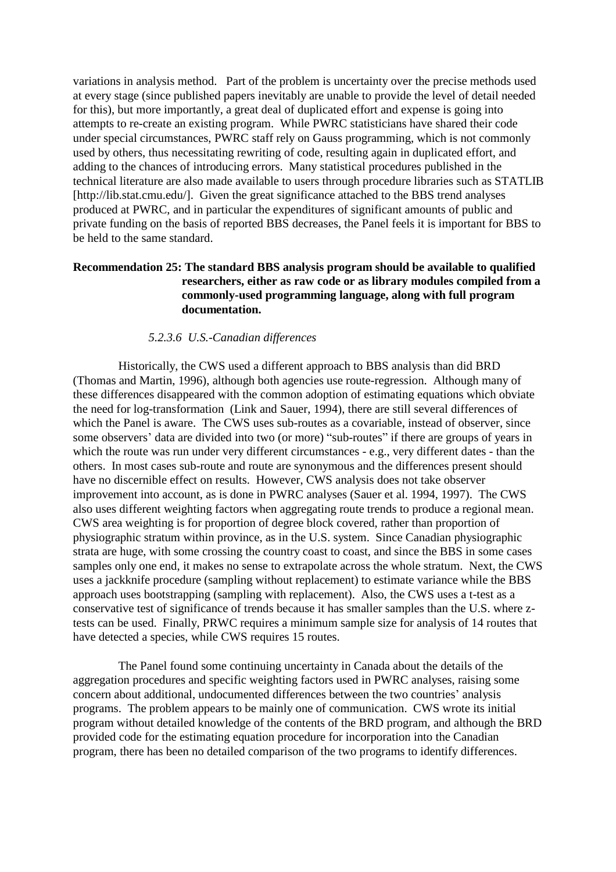variations in analysis method. Part of the problem is uncertainty over the precise methods used at every stage (since published papers inevitably are unable to provide the level of detail needed for this), but more importantly, a great deal of duplicated effort and expense is going into attempts to re-create an existing program. While PWRC statisticians have shared their code under special circumstances, PWRC staff rely on Gauss programming, which is not commonly used by others, thus necessitating rewriting of code, resulting again in duplicated effort, and adding to the chances of introducing errors. Many statistical procedures published in the technical literature are also made available to users through procedure libraries such as STATLIB [http://lib.stat.cmu.edu/]. Given the great significance attached to the BBS trend analyses produced at PWRC, and in particular the expenditures of significant amounts of public and private funding on the basis of reported BBS decreases, the Panel feels it is important for BBS to be held to the same standard.

### **Recommendation 25: The standard BBS analysis program should be available to qualified researchers, either as raw code or as library modules compiled from a commonly-used programming language, along with full program documentation.**

#### *5.2.3.6 U.S.-Canadian differences*

Historically, the CWS used a different approach to BBS analysis than did BRD (Thomas and Martin, 1996), although both agencies use route-regression. Although many of these differences disappeared with the common adoption of estimating equations which obviate the need for log-transformation (Link and Sauer, 1994), there are still several differences of which the Panel is aware. The CWS uses sub-routes as a covariable, instead of observer, since some observers' data are divided into two (or more) "sub-routes" if there are groups of years in which the route was run under very different circumstances - e.g., very different dates - than the others. In most cases sub-route and route are synonymous and the differences present should have no discernible effect on results. However, CWS analysis does not take observer improvement into account, as is done in PWRC analyses (Sauer et al. 1994, 1997). The CWS also uses different weighting factors when aggregating route trends to produce a regional mean. CWS area weighting is for proportion of degree block covered, rather than proportion of physiographic stratum within province, as in the U.S. system. Since Canadian physiographic strata are huge, with some crossing the country coast to coast, and since the BBS in some cases samples only one end, it makes no sense to extrapolate across the whole stratum. Next, the CWS uses a jackknife procedure (sampling without replacement) to estimate variance while the BBS approach uses bootstrapping (sampling with replacement). Also, the CWS uses a t-test as a conservative test of significance of trends because it has smaller samples than the U.S. where ztests can be used. Finally, PRWC requires a minimum sample size for analysis of 14 routes that have detected a species, while CWS requires 15 routes.

The Panel found some continuing uncertainty in Canada about the details of the aggregation procedures and specific weighting factors used in PWRC analyses, raising some concern about additional, undocumented differences between the two countries' analysis programs. The problem appears to be mainly one of communication. CWS wrote its initial program without detailed knowledge of the contents of the BRD program, and although the BRD provided code for the estimating equation procedure for incorporation into the Canadian program, there has been no detailed comparison of the two programs to identify differences.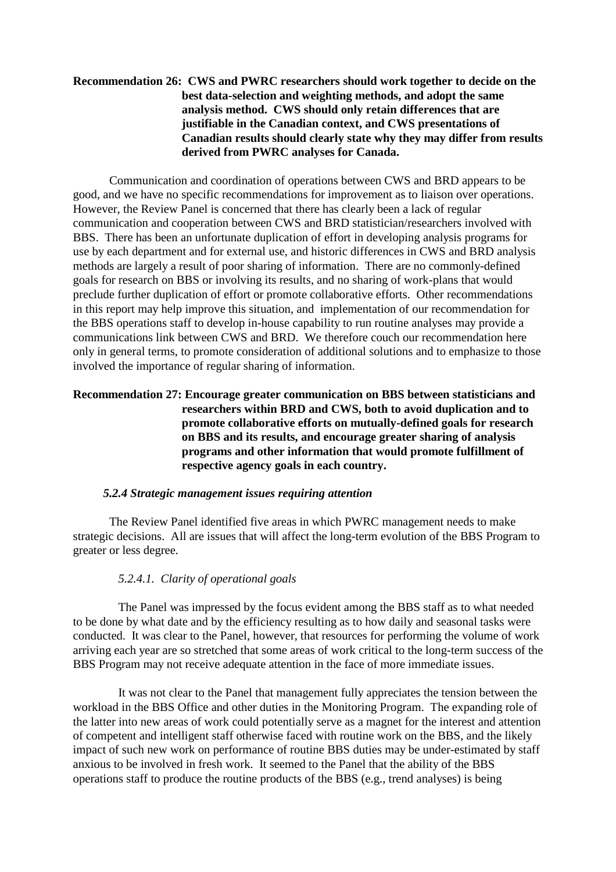### **Recommendation 26: CWS and PWRC researchers should work together to decide on the best data-selection and weighting methods, and adopt the same analysis method. CWS should only retain differences that are justifiable in the Canadian context, and CWS presentations of Canadian results should clearly state why they may differ from results derived from PWRC analyses for Canada.**

Communication and coordination of operations between CWS and BRD appears to be good, and we have no specific recommendations for improvement as to liaison over operations. However, the Review Panel is concerned that there has clearly been a lack of regular communication and cooperation between CWS and BRD statistician/researchers involved with BBS. There has been an unfortunate duplication of effort in developing analysis programs for use by each department and for external use, and historic differences in CWS and BRD analysis methods are largely a result of poor sharing of information. There are no commonly-defined goals for research on BBS or involving its results, and no sharing of work-plans that would preclude further duplication of effort or promote collaborative efforts. Other recommendations in this report may help improve this situation, and implementation of our recommendation for the BBS operations staff to develop in-house capability to run routine analyses may provide a communications link between CWS and BRD. We therefore couch our recommendation here only in general terms, to promote consideration of additional solutions and to emphasize to those involved the importance of regular sharing of information.

### **Recommendation 27: Encourage greater communication on BBS between statisticians and researchers within BRD and CWS, both to avoid duplication and to promote collaborative efforts on mutually-defined goals for research on BBS and its results, and encourage greater sharing of analysis programs and other information that would promote fulfillment of respective agency goals in each country.**

#### *5.2.4 Strategic management issues requiring attention*

The Review Panel identified five areas in which PWRC management needs to make strategic decisions. All are issues that will affect the long-term evolution of the BBS Program to greater or less degree.

#### *5.2.4.1. Clarity of operational goals*

The Panel was impressed by the focus evident among the BBS staff as to what needed to be done by what date and by the efficiency resulting as to how daily and seasonal tasks were conducted. It was clear to the Panel, however, that resources for performing the volume of work arriving each year are so stretched that some areas of work critical to the long-term success of the BBS Program may not receive adequate attention in the face of more immediate issues.

It was not clear to the Panel that management fully appreciates the tension between the workload in the BBS Office and other duties in the Monitoring Program. The expanding role of the latter into new areas of work could potentially serve as a magnet for the interest and attention of competent and intelligent staff otherwise faced with routine work on the BBS, and the likely impact of such new work on performance of routine BBS duties may be under-estimated by staff anxious to be involved in fresh work. It seemed to the Panel that the ability of the BBS operations staff to produce the routine products of the BBS (e.g., trend analyses) is being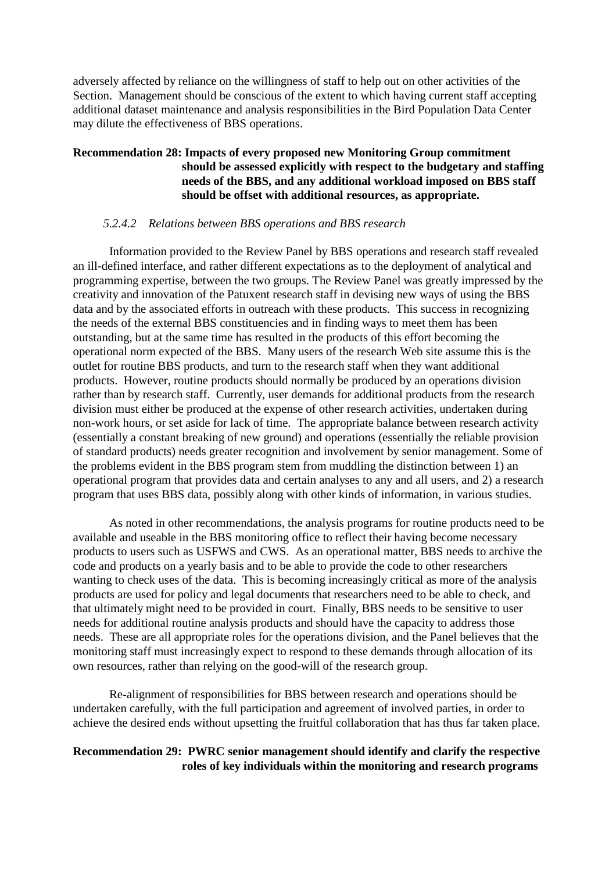adversely affected by reliance on the willingness of staff to help out on other activities of the Section. Management should be conscious of the extent to which having current staff accepting additional dataset maintenance and analysis responsibilities in the Bird Population Data Center may dilute the effectiveness of BBS operations.

### **Recommendation 28: Impacts of every proposed new Monitoring Group commitment should be assessed explicitly with respect to the budgetary and staffing needs of the BBS, and any additional workload imposed on BBS staff should be offset with additional resources, as appropriate.**

#### *5.2.4.2 Relations between BBS operations and BBS research*

Information provided to the Review Panel by BBS operations and research staff revealed an ill-defined interface, and rather different expectations as to the deployment of analytical and programming expertise, between the two groups. The Review Panel was greatly impressed by the creativity and innovation of the Patuxent research staff in devising new ways of using the BBS data and by the associated efforts in outreach with these products. This success in recognizing the needs of the external BBS constituencies and in finding ways to meet them has been outstanding, but at the same time has resulted in the products of this effort becoming the operational norm expected of the BBS. Many users of the research Web site assume this is the outlet for routine BBS products, and turn to the research staff when they want additional products. However, routine products should normally be produced by an operations division rather than by research staff. Currently, user demands for additional products from the research division must either be produced at the expense of other research activities, undertaken during non-work hours, or set aside for lack of time. The appropriate balance between research activity (essentially a constant breaking of new ground) and operations (essentially the reliable provision of standard products) needs greater recognition and involvement by senior management. Some of the problems evident in the BBS program stem from muddling the distinction between 1) an operational program that provides data and certain analyses to any and all users, and 2) a research program that uses BBS data, possibly along with other kinds of information, in various studies.

As noted in other recommendations, the analysis programs for routine products need to be available and useable in the BBS monitoring office to reflect their having become necessary products to users such as USFWS and CWS. As an operational matter, BBS needs to archive the code and products on a yearly basis and to be able to provide the code to other researchers wanting to check uses of the data. This is becoming increasingly critical as more of the analysis products are used for policy and legal documents that researchers need to be able to check, and that ultimately might need to be provided in court. Finally, BBS needs to be sensitive to user needs for additional routine analysis products and should have the capacity to address those needs. These are all appropriate roles for the operations division, and the Panel believes that the monitoring staff must increasingly expect to respond to these demands through allocation of its own resources, rather than relying on the good-will of the research group.

Re-alignment of responsibilities for BBS between research and operations should be undertaken carefully, with the full participation and agreement of involved parties, in order to achieve the desired ends without upsetting the fruitful collaboration that has thus far taken place.

#### **Recommendation 29: PWRC senior management should identify and clarify the respective roles of key individuals within the monitoring and research programs**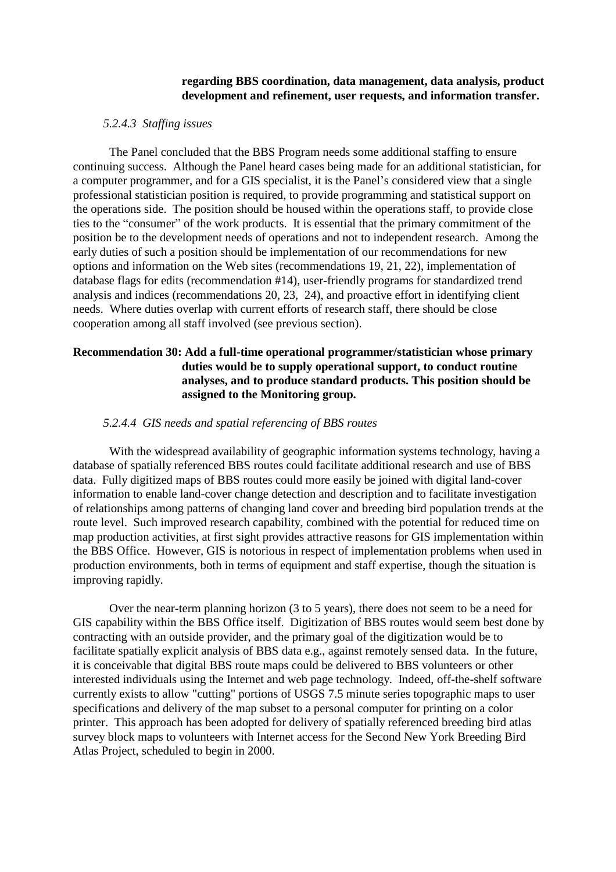#### **regarding BBS coordination, data management, data analysis, product development and refinement, user requests, and information transfer.**

#### *5.2.4.3 Staffing issues*

The Panel concluded that the BBS Program needs some additional staffing to ensure continuing success. Although the Panel heard cases being made for an additional statistician, for a computer programmer, and for a GIS specialist, it is the Panel's considered view that a single professional statistician position is required, to provide programming and statistical support on the operations side. The position should be housed within the operations staff, to provide close ties to the "consumer" of the work products. It is essential that the primary commitment of the position be to the development needs of operations and not to independent research. Among the early duties of such a position should be implementation of our recommendations for new options and information on the Web sites (recommendations 19, 21, 22), implementation of database flags for edits (recommendation #14), user-friendly programs for standardized trend analysis and indices (recommendations 20, 23, 24), and proactive effort in identifying client needs. Where duties overlap with current efforts of research staff, there should be close cooperation among all staff involved (see previous section).

### **Recommendation 30: Add a full-time operational programmer/statistician whose primary duties would be to supply operational support, to conduct routine analyses, and to produce standard products. This position should be assigned to the Monitoring group.**

#### *5.2.4.4 GIS needs and spatial referencing of BBS routes*

With the widespread availability of geographic information systems technology, having a database of spatially referenced BBS routes could facilitate additional research and use of BBS data. Fully digitized maps of BBS routes could more easily be joined with digital land-cover information to enable land-cover change detection and description and to facilitate investigation of relationships among patterns of changing land cover and breeding bird population trends at the route level. Such improved research capability, combined with the potential for reduced time on map production activities, at first sight provides attractive reasons for GIS implementation within the BBS Office. However, GIS is notorious in respect of implementation problems when used in production environments, both in terms of equipment and staff expertise, though the situation is improving rapidly.

Over the near-term planning horizon (3 to 5 years), there does not seem to be a need for GIS capability within the BBS Office itself. Digitization of BBS routes would seem best done by contracting with an outside provider, and the primary goal of the digitization would be to facilitate spatially explicit analysis of BBS data e.g., against remotely sensed data. In the future, it is conceivable that digital BBS route maps could be delivered to BBS volunteers or other interested individuals using the Internet and web page technology. Indeed, off-the-shelf software currently exists to allow "cutting" portions of USGS 7.5 minute series topographic maps to user specifications and delivery of the map subset to a personal computer for printing on a color printer. This approach has been adopted for delivery of spatially referenced breeding bird atlas survey block maps to volunteers with Internet access for the Second New York Breeding Bird Atlas Project, scheduled to begin in 2000.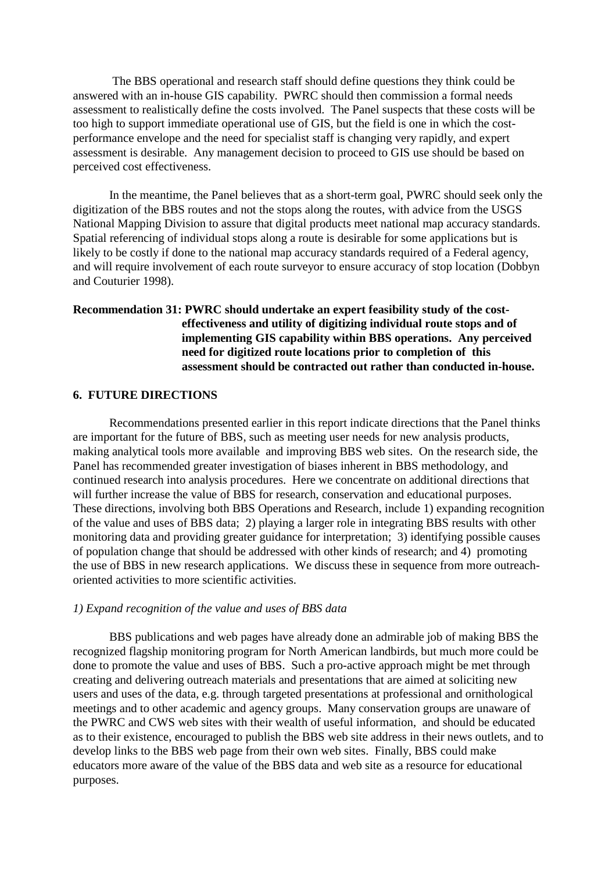The BBS operational and research staff should define questions they think could be answered with an in-house GIS capability. PWRC should then commission a formal needs assessment to realistically define the costs involved. The Panel suspects that these costs will be too high to support immediate operational use of GIS, but the field is one in which the costperformance envelope and the need for specialist staff is changing very rapidly, and expert assessment is desirable. Any management decision to proceed to GIS use should be based on perceived cost effectiveness.

In the meantime, the Panel believes that as a short-term goal, PWRC should seek only the digitization of the BBS routes and not the stops along the routes, with advice from the USGS National Mapping Division to assure that digital products meet national map accuracy standards. Spatial referencing of individual stops along a route is desirable for some applications but is likely to be costly if done to the national map accuracy standards required of a Federal agency, and will require involvement of each route surveyor to ensure accuracy of stop location (Dobbyn and Couturier 1998).

### **Recommendation 31: PWRC should undertake an expert feasibility study of the costeffectiveness and utility of digitizing individual route stops and of implementing GIS capability within BBS operations. Any perceived need for digitized route locations prior to completion of this assessment should be contracted out rather than conducted in-house.**

#### **6. FUTURE DIRECTIONS**

Recommendations presented earlier in this report indicate directions that the Panel thinks are important for the future of BBS, such as meeting user needs for new analysis products, making analytical tools more available and improving BBS web sites. On the research side, the Panel has recommended greater investigation of biases inherent in BBS methodology, and continued research into analysis procedures. Here we concentrate on additional directions that will further increase the value of BBS for research, conservation and educational purposes. These directions, involving both BBS Operations and Research, include 1) expanding recognition of the value and uses of BBS data; 2) playing a larger role in integrating BBS results with other monitoring data and providing greater guidance for interpretation; 3) identifying possible causes of population change that should be addressed with other kinds of research; and 4) promoting the use of BBS in new research applications. We discuss these in sequence from more outreachoriented activities to more scientific activities.

#### *1) Expand recognition of the value and uses of BBS data*

BBS publications and web pages have already done an admirable job of making BBS the recognized flagship monitoring program for North American landbirds, but much more could be done to promote the value and uses of BBS. Such a pro-active approach might be met through creating and delivering outreach materials and presentations that are aimed at soliciting new users and uses of the data, e.g. through targeted presentations at professional and ornithological meetings and to other academic and agency groups. Many conservation groups are unaware of the PWRC and CWS web sites with their wealth of useful information, and should be educated as to their existence, encouraged to publish the BBS web site address in their news outlets, and to develop links to the BBS web page from their own web sites. Finally, BBS could make educators more aware of the value of the BBS data and web site as a resource for educational purposes.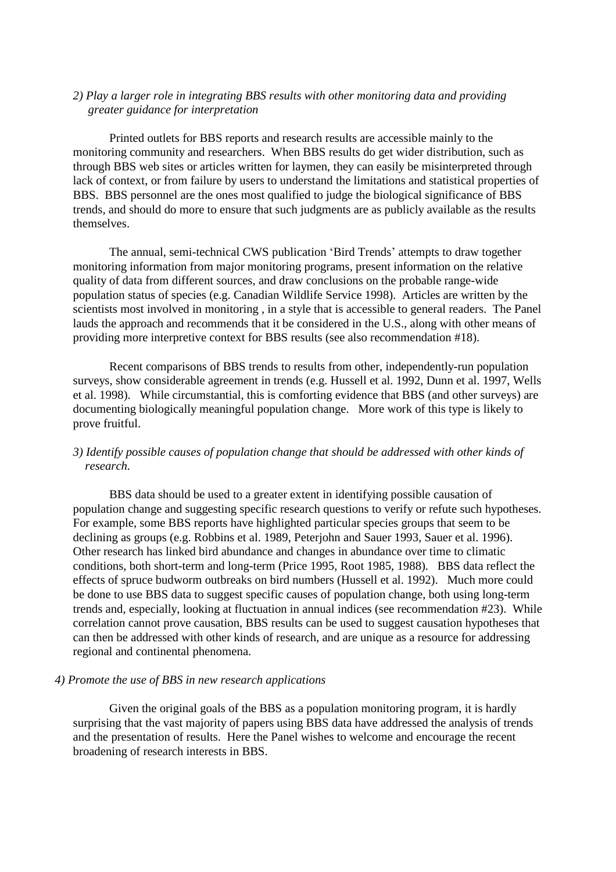#### *2) Play a larger role in integrating BBS results with other monitoring data and providing greater guidance for interpretation*

Printed outlets for BBS reports and research results are accessible mainly to the monitoring community and researchers. When BBS results do get wider distribution, such as through BBS web sites or articles written for laymen, they can easily be misinterpreted through lack of context, or from failure by users to understand the limitations and statistical properties of BBS. BBS personnel are the ones most qualified to judge the biological significance of BBS trends, and should do more to ensure that such judgments are as publicly available as the results themselves.

The annual, semi-technical CWS publication 'Bird Trends' attempts to draw together monitoring information from major monitoring programs, present information on the relative quality of data from different sources, and draw conclusions on the probable range-wide population status of species (e.g. Canadian Wildlife Service 1998). Articles are written by the scientists most involved in monitoring , in a style that is accessible to general readers. The Panel lauds the approach and recommends that it be considered in the U.S., along with other means of providing more interpretive context for BBS results (see also recommendation #18).

Recent comparisons of BBS trends to results from other, independently-run population surveys, show considerable agreement in trends (e.g. Hussell et al. 1992, Dunn et al. 1997, Wells et al. 1998). While circumstantial, this is comforting evidence that BBS (and other surveys) are documenting biologically meaningful population change. More work of this type is likely to prove fruitful.

### *3) Identify possible causes of population change that should be addressed with other kinds of research.*

BBS data should be used to a greater extent in identifying possible causation of population change and suggesting specific research questions to verify or refute such hypotheses. For example, some BBS reports have highlighted particular species groups that seem to be declining as groups (e.g. Robbins et al. 1989, Peterjohn and Sauer 1993, Sauer et al. 1996). Other research has linked bird abundance and changes in abundance over time to climatic conditions, both short-term and long-term (Price 1995, Root 1985, 1988). BBS data reflect the effects of spruce budworm outbreaks on bird numbers (Hussell et al. 1992). Much more could be done to use BBS data to suggest specific causes of population change, both using long-term trends and, especially, looking at fluctuation in annual indices (see recommendation #23). While correlation cannot prove causation, BBS results can be used to suggest causation hypotheses that can then be addressed with other kinds of research, and are unique as a resource for addressing regional and continental phenomena.

#### *4) Promote the use of BBS in new research applications*

Given the original goals of the BBS as a population monitoring program, it is hardly surprising that the vast majority of papers using BBS data have addressed the analysis of trends and the presentation of results. Here the Panel wishes to welcome and encourage the recent broadening of research interests in BBS.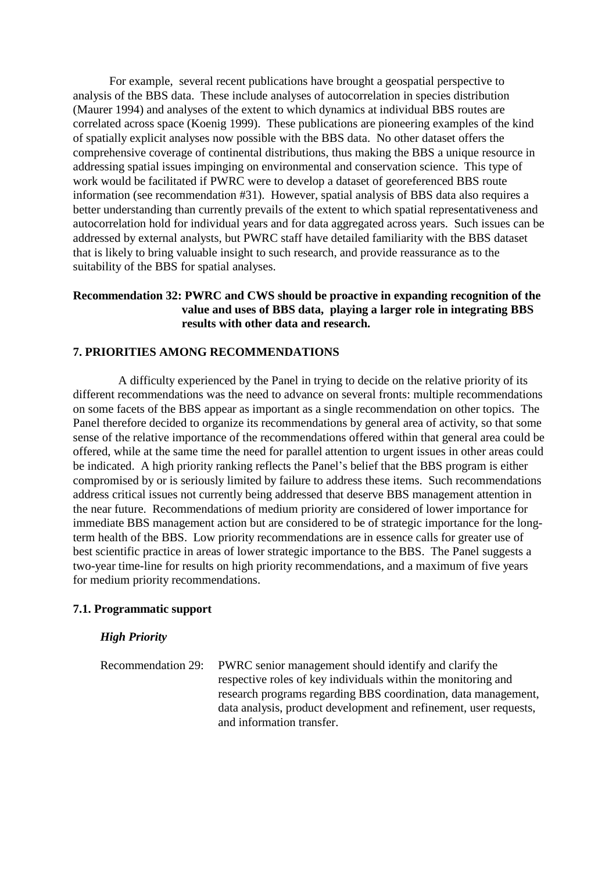For example, several recent publications have brought a geospatial perspective to analysis of the BBS data. These include analyses of autocorrelation in species distribution (Maurer 1994) and analyses of the extent to which dynamics at individual BBS routes are correlated across space (Koenig 1999). These publications are pioneering examples of the kind of spatially explicit analyses now possible with the BBS data. No other dataset offers the comprehensive coverage of continental distributions, thus making the BBS a unique resource in addressing spatial issues impinging on environmental and conservation science. This type of work would be facilitated if PWRC were to develop a dataset of georeferenced BBS route information (see recommendation #31). However, spatial analysis of BBS data also requires a better understanding than currently prevails of the extent to which spatial representativeness and autocorrelation hold for individual years and for data aggregated across years. Such issues can be addressed by external analysts, but PWRC staff have detailed familiarity with the BBS dataset that is likely to bring valuable insight to such research, and provide reassurance as to the suitability of the BBS for spatial analyses.

### **Recommendation 32: PWRC and CWS should be proactive in expanding recognition of the value and uses of BBS data, playing a larger role in integrating BBS results with other data and research.**

#### **7. PRIORITIES AMONG RECOMMENDATIONS**

A difficulty experienced by the Panel in trying to decide on the relative priority of its different recommendations was the need to advance on several fronts: multiple recommendations on some facets of the BBS appear as important as a single recommendation on other topics. The Panel therefore decided to organize its recommendations by general area of activity, so that some sense of the relative importance of the recommendations offered within that general area could be offered, while at the same time the need for parallel attention to urgent issues in other areas could be indicated. A high priority ranking reflects the Panel's belief that the BBS program is either compromised by or is seriously limited by failure to address these items. Such recommendations address critical issues not currently being addressed that deserve BBS management attention in the near future. Recommendations of medium priority are considered of lower importance for immediate BBS management action but are considered to be of strategic importance for the longterm health of the BBS. Low priority recommendations are in essence calls for greater use of best scientific practice in areas of lower strategic importance to the BBS. The Panel suggests a two-year time-line for results on high priority recommendations, and a maximum of five years for medium priority recommendations.

#### **7.1. Programmatic support**

#### *High Priority*

Recommendation 29: PWRC senior management should identify and clarify the respective roles of key individuals within the monitoring and research programs regarding BBS coordination, data management, data analysis, product development and refinement, user requests, and information transfer.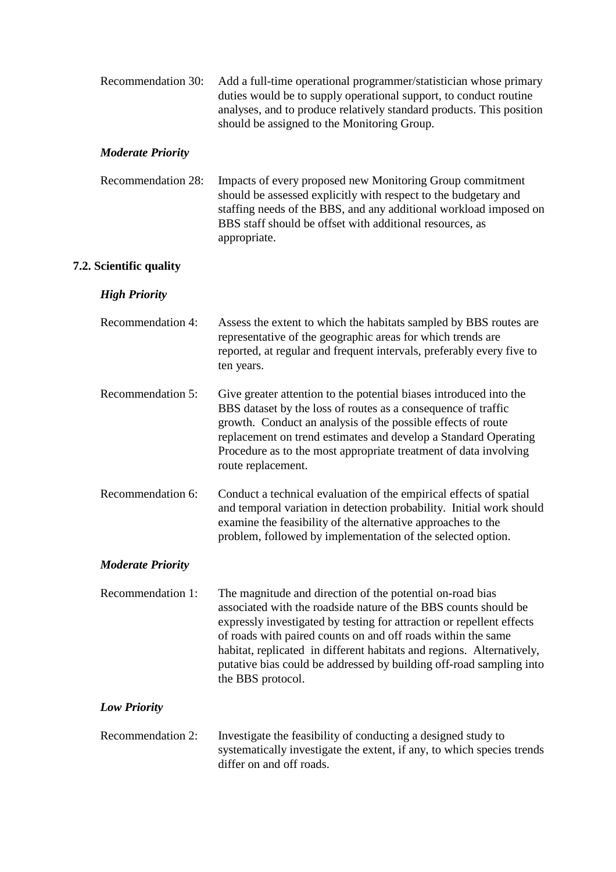| Recommendation 30: | Add a full-time operational programmer/statistician whose primary    |
|--------------------|----------------------------------------------------------------------|
|                    | duties would be to supply operational support, to conduct routine    |
|                    | analyses, and to produce relatively standard products. This position |
|                    | should be assigned to the Monitoring Group.                          |

#### *Moderate Priority*

| Recommendation 28: | Impacts of every proposed new Monitoring Group commitment         |
|--------------------|-------------------------------------------------------------------|
|                    | should be assessed explicitly with respect to the budgetary and   |
|                    | staffing needs of the BBS, and any additional workload imposed on |
|                    | BBS staff should be offset with additional resources, as          |
|                    | appropriate.                                                      |

### **7.2. Scientific quality**

### *High Priority*

| Recommendation 4: | Assess the extent to which the habitats sampled by BBS routes are     |
|-------------------|-----------------------------------------------------------------------|
|                   | representative of the geographic areas for which trends are           |
|                   | reported, at regular and frequent intervals, preferably every five to |
|                   | ten years.                                                            |
|                   |                                                                       |

Recommendation 5: Give greater attention to the potential biases introduced into the BBS dataset by the loss of routes as a consequence of traffic growth. Conduct an analysis of the possible effects of route replacement on trend estimates and develop a Standard Operating Procedure as to the most appropriate treatment of data involving route replacement.

Recommendation 6: Conduct a technical evaluation of the empirical effects of spatial and temporal variation in detection probability. Initial work should examine the feasibility of the alternative approaches to the problem, followed by implementation of the selected option.

### *Moderate Priority*

Recommendation 1: The magnitude and direction of the potential on-road bias associated with the roadside nature of the BBS counts should be expressly investigated by testing for attraction or repellent effects of roads with paired counts on and off roads within the same habitat, replicated in different habitats and regions. Alternatively, putative bias could be addressed by building off-road sampling into the BBS protocol.

### *Low Priority*

Recommendation 2: Investigate the feasibility of conducting a designed study to systematically investigate the extent, if any, to which species trends differ on and off roads.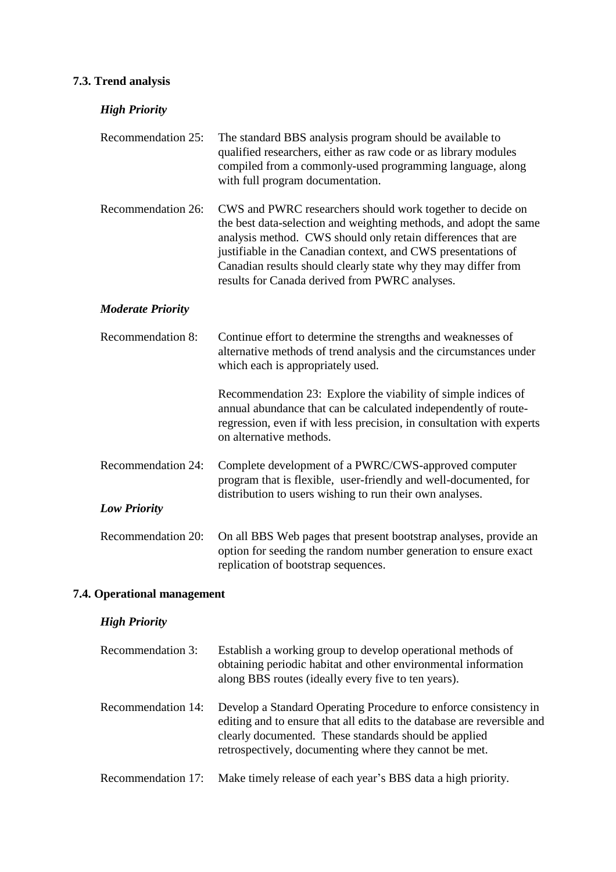# **7.3. Trend analysis**

| <b>High Priority</b>     |                                                                                                                                                                                                                                                                                                                                                                                      |
|--------------------------|--------------------------------------------------------------------------------------------------------------------------------------------------------------------------------------------------------------------------------------------------------------------------------------------------------------------------------------------------------------------------------------|
| Recommendation 25:       | The standard BBS analysis program should be available to<br>qualified researchers, either as raw code or as library modules<br>compiled from a commonly-used programming language, along<br>with full program documentation.                                                                                                                                                         |
| Recommendation 26:       | CWS and PWRC researchers should work together to decide on<br>the best data-selection and weighting methods, and adopt the same<br>analysis method. CWS should only retain differences that are<br>justifiable in the Canadian context, and CWS presentations of<br>Canadian results should clearly state why they may differ from<br>results for Canada derived from PWRC analyses. |
| <b>Moderate Priority</b> |                                                                                                                                                                                                                                                                                                                                                                                      |
| Recommendation 8:        | Continue effort to determine the strengths and weaknesses of<br>alternative methods of trend analysis and the circumstances under<br>which each is appropriately used.                                                                                                                                                                                                               |
|                          | Recommendation 23: Explore the viability of simple indices of<br>annual abundance that can be calculated independently of route-<br>regression, even if with less precision, in consultation with experts<br>on alternative methods.                                                                                                                                                 |
| Recommendation 24:       | Complete development of a PWRC/CWS-approved computer<br>program that is flexible, user-friendly and well-documented, for<br>distribution to users wishing to run their own analyses.                                                                                                                                                                                                 |
| <b>Low Priority</b>      |                                                                                                                                                                                                                                                                                                                                                                                      |
| Recommendation 20:       | On all BBS Web pages that present bootstrap analyses, provide an<br>option for seeding the random number generation to ensure exact<br>replication of bootstrap sequences.                                                                                                                                                                                                           |

# **7.4. Operational management**

# *High Priority*

| Recommendation 3:  | Establish a working group to develop operational methods of<br>obtaining periodic habitat and other environmental information<br>along BBS routes (ideally every five to ten years).                                                                           |
|--------------------|----------------------------------------------------------------------------------------------------------------------------------------------------------------------------------------------------------------------------------------------------------------|
| Recommendation 14: | Develop a Standard Operating Procedure to enforce consistency in<br>editing and to ensure that all edits to the database are reversible and<br>clearly documented. These standards should be applied<br>retrospectively, documenting where they cannot be met. |
| Recommendation 17: | Make timely release of each year's BBS data a high priority.                                                                                                                                                                                                   |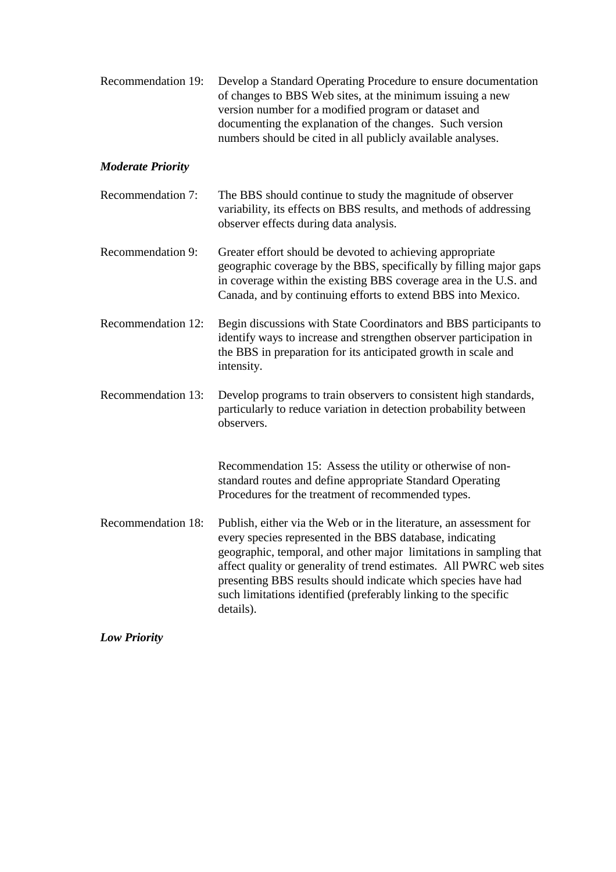|  | Recommendation 19: Develop a Standard Operating Procedure to ensure documentation |
|--|-----------------------------------------------------------------------------------|
|  | of changes to BBS Web sites, at the minimum issuing a new                         |
|  | version number for a modified program or dataset and                              |
|  | documenting the explanation of the changes. Such version                          |
|  | numbers should be cited in all publicly available analyses.                       |

### *Moderate Priority*

- Recommendation 7: The BBS should continue to study the magnitude of observer variability, its effects on BBS results, and methods of addressing observer effects during data analysis.
- Recommendation 9: Greater effort should be devoted to achieving appropriate geographic coverage by the BBS, specifically by filling major gaps in coverage within the existing BBS coverage area in the U.S. and Canada, and by continuing efforts to extend BBS into Mexico.
- Recommendation 12: Begin discussions with State Coordinators and BBS participants to identify ways to increase and strengthen observer participation in the BBS in preparation for its anticipated growth in scale and intensity.
- Recommendation 13: Develop programs to train observers to consistent high standards, particularly to reduce variation in detection probability between observers.

Recommendation 15: Assess the utility or otherwise of nonstandard routes and define appropriate Standard Operating Procedures for the treatment of recommended types.

Recommendation 18: Publish, either via the Web or in the literature, an assessment for every species represented in the BBS database, indicating geographic, temporal, and other major limitations in sampling that affect quality or generality of trend estimates. All PWRC web sites presenting BBS results should indicate which species have had such limitations identified (preferably linking to the specific details).

*Low Priority*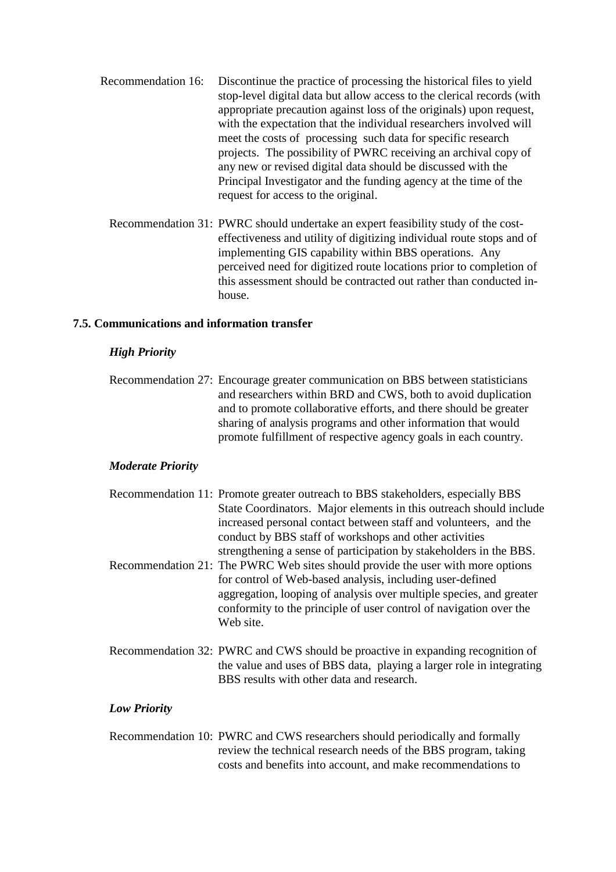- Recommendation 16: Discontinue the practice of processing the historical files to yield stop-level digital data but allow access to the clerical records (with appropriate precaution against loss of the originals) upon request, with the expectation that the individual researchers involved will meet the costs of processing such data for specific research projects. The possibility of PWRC receiving an archival copy of any new or revised digital data should be discussed with the Principal Investigator and the funding agency at the time of the request for access to the original.
	- Recommendation 31: PWRC should undertake an expert feasibility study of the costeffectiveness and utility of digitizing individual route stops and of implementing GIS capability within BBS operations. Any perceived need for digitized route locations prior to completion of this assessment should be contracted out rather than conducted inhouse.

### **7.5. Communications and information transfer**

#### *High Priority*

Recommendation 27: Encourage greater communication on BBS between statisticians and researchers within BRD and CWS, both to avoid duplication and to promote collaborative efforts, and there should be greater sharing of analysis programs and other information that would promote fulfillment of respective agency goals in each country.

#### *Moderate Priority*

- Recommendation 11: Promote greater outreach to BBS stakeholders, especially BBS State Coordinators. Major elements in this outreach should include increased personal contact between staff and volunteers, and the conduct by BBS staff of workshops and other activities strengthening a sense of participation by stakeholders in the BBS. Recommendation 21: The PWRC Web sites should provide the user with more options for control of Web-based analysis, including user-defined aggregation, looping of analysis over multiple species, and greater conformity to the principle of user control of navigation over the Web site.
- Recommendation 32: PWRC and CWS should be proactive in expanding recognition of the value and uses of BBS data, playing a larger role in integrating BBS results with other data and research.

#### *Low Priority*

Recommendation 10: PWRC and CWS researchers should periodically and formally review the technical research needs of the BBS program, taking costs and benefits into account, and make recommendations to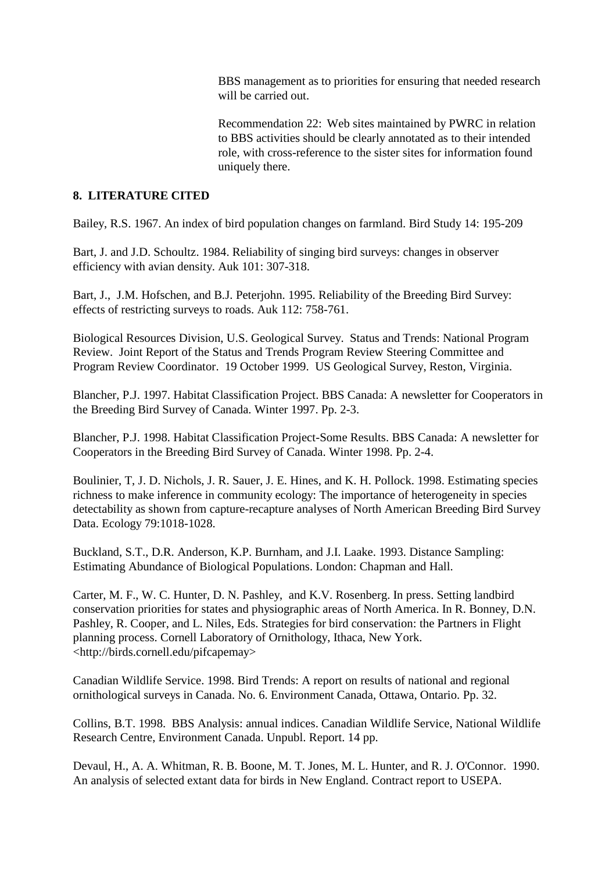BBS management as to priorities for ensuring that needed research will be carried out.

Recommendation 22: Web sites maintained by PWRC in relation to BBS activities should be clearly annotated as to their intended role, with cross-reference to the sister sites for information found uniquely there.

### **8. LITERATURE CITED**

Bailey, R.S. 1967. An index of bird population changes on farmland. Bird Study 14: 195-209

Bart, J. and J.D. Schoultz. 1984. Reliability of singing bird surveys: changes in observer efficiency with avian density. Auk 101: 307-318.

Bart, J., J.M. Hofschen, and B.J. Peterjohn. 1995. Reliability of the Breeding Bird Survey: effects of restricting surveys to roads. Auk 112: 758-761.

Biological Resources Division, U.S. Geological Survey. Status and Trends: National Program Review. Joint Report of the Status and Trends Program Review Steering Committee and Program Review Coordinator. 19 October 1999. US Geological Survey, Reston, Virginia.

Blancher, P.J. 1997. Habitat Classification Project. BBS Canada: A newsletter for Cooperators in the Breeding Bird Survey of Canada. Winter 1997. Pp. 2-3.

Blancher, P.J. 1998. Habitat Classification Project-Some Results. BBS Canada: A newsletter for Cooperators in the Breeding Bird Survey of Canada. Winter 1998. Pp. 2-4.

Boulinier, T, J. D. Nichols, J. R. Sauer, J. E. Hines, and K. H. Pollock. 1998. Estimating species richness to make inference in community ecology: The importance of heterogeneity in species detectability as shown from capture-recapture analyses of North American Breeding Bird Survey Data. Ecology 79:1018-1028.

Buckland, S.T., D.R. Anderson, K.P. Burnham, and J.I. Laake. 1993. Distance Sampling: Estimating Abundance of Biological Populations. London: Chapman and Hall.

Carter, M. F., W. C. Hunter, D. N. Pashley, and K.V. Rosenberg. In press. Setting landbird conservation priorities for states and physiographic areas of North America. In R. Bonney, D.N. Pashley, R. Cooper, and L. Niles, Eds. Strategies for bird conservation: the Partners in Flight planning process. Cornell Laboratory of Ornithology, Ithaca, New York. <http://birds.cornell.edu/pifcapemay>

Canadian Wildlife Service. 1998. Bird Trends: A report on results of national and regional ornithological surveys in Canada. No. 6. Environment Canada, Ottawa, Ontario. Pp. 32.

Collins, B.T. 1998. BBS Analysis: annual indices. Canadian Wildlife Service, National Wildlife Research Centre, Environment Canada. Unpubl. Report. 14 pp.

Devaul, H., A. A. Whitman, R. B. Boone, M. T. Jones, M. L. Hunter, and R. J. O'Connor. 1990. An analysis of selected extant data for birds in New England. Contract report to USEPA.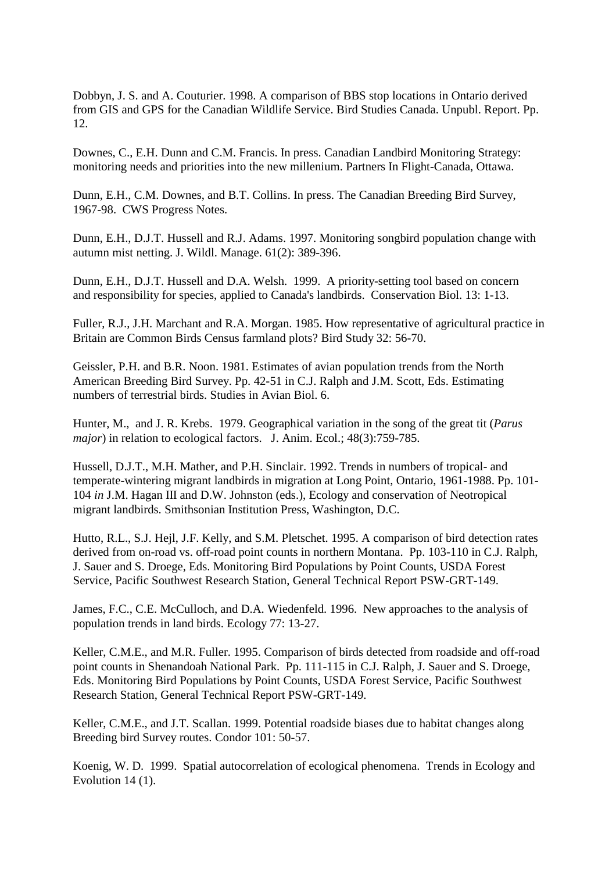Dobbyn, J. S. and A. Couturier. 1998. A comparison of BBS stop locations in Ontario derived from GIS and GPS for the Canadian Wildlife Service. Bird Studies Canada. Unpubl. Report. Pp. 12.

Downes, C., E.H. Dunn and C.M. Francis. In press. Canadian Landbird Monitoring Strategy: monitoring needs and priorities into the new millenium. Partners In Flight-Canada, Ottawa.

Dunn, E.H., C.M. Downes, and B.T. Collins. In press. The Canadian Breeding Bird Survey, 1967-98. CWS Progress Notes.

Dunn, E.H., D.J.T. Hussell and R.J. Adams. 1997. Monitoring songbird population change with autumn mist netting. J. Wildl. Manage. 61(2): 389-396.

Dunn, E.H., D.J.T. Hussell and D.A. Welsh. 1999. A priority-setting tool based on concern and responsibility for species, applied to Canada's landbirds. Conservation Biol. 13: 1-13.

Fuller, R.J., J.H. Marchant and R.A. Morgan. 1985. How representative of agricultural practice in Britain are Common Birds Census farmland plots? Bird Study 32: 56-70.

Geissler, P.H. and B.R. Noon. 1981. Estimates of avian population trends from the North American Breeding Bird Survey. Pp. 42-51 in C.J. Ralph and J.M. Scott, Eds. Estimating numbers of terrestrial birds. Studies in Avian Biol. 6.

Hunter, M., and J. R. Krebs. 1979. Geographical variation in the song of the great tit (*Parus major*) in relation to ecological factors. J. Anim. Ecol.; 48(3):759-785.

Hussell, D.J.T., M.H. Mather, and P.H. Sinclair. 1992. Trends in numbers of tropical- and temperate-wintering migrant landbirds in migration at Long Point, Ontario, 1961-1988. Pp. 101- 104 *in* J.M. Hagan III and D.W. Johnston (eds.), Ecology and conservation of Neotropical migrant landbirds. Smithsonian Institution Press, Washington, D.C.

Hutto, R.L., S.J. Hejl, J.F. Kelly, and S.M. Pletschet. 1995. A comparison of bird detection rates derived from on-road vs. off-road point counts in northern Montana. Pp. 103-110 in C.J. Ralph, J. Sauer and S. Droege, Eds. Monitoring Bird Populations by Point Counts, USDA Forest Service, Pacific Southwest Research Station, General Technical Report PSW-GRT-149.

James, F.C., C.E. McCulloch, and D.A. Wiedenfeld. 1996. New approaches to the analysis of population trends in land birds. Ecology 77: 13-27.

Keller, C.M.E., and M.R. Fuller. 1995. Comparison of birds detected from roadside and off-road point counts in Shenandoah National Park. Pp. 111-115 in C.J. Ralph, J. Sauer and S. Droege, Eds. Monitoring Bird Populations by Point Counts, USDA Forest Service, Pacific Southwest Research Station, General Technical Report PSW-GRT-149.

Keller, C.M.E., and J.T. Scallan. 1999. Potential roadside biases due to habitat changes along Breeding bird Survey routes. Condor 101: 50-57.

Koenig, W. D. 1999. Spatial autocorrelation of ecological phenomena. Trends in Ecology and Evolution 14 (1).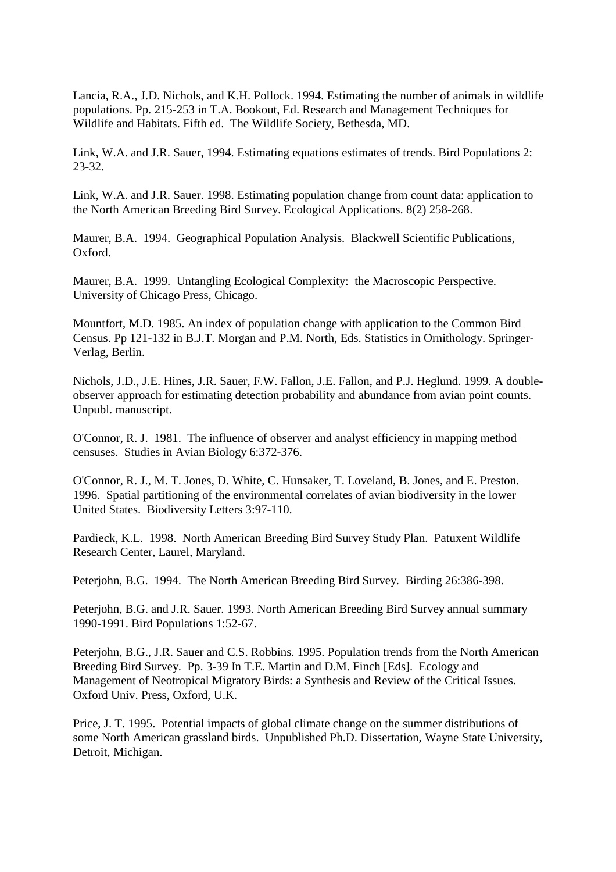Lancia, R.A., J.D. Nichols, and K.H. Pollock. 1994. Estimating the number of animals in wildlife populations. Pp. 215-253 in T.A. Bookout, Ed. Research and Management Techniques for Wildlife and Habitats. Fifth ed. The Wildlife Society, Bethesda, MD.

Link, W.A. and J.R. Sauer, 1994. Estimating equations estimates of trends. Bird Populations 2: 23-32.

Link, W.A. and J.R. Sauer. 1998. Estimating population change from count data: application to the North American Breeding Bird Survey. Ecological Applications. 8(2) 258-268.

Maurer, B.A. 1994. Geographical Population Analysis. Blackwell Scientific Publications, Oxford.

Maurer, B.A. 1999. Untangling Ecological Complexity: the Macroscopic Perspective. University of Chicago Press, Chicago.

Mountfort, M.D. 1985. An index of population change with application to the Common Bird Census. Pp 121-132 in B.J.T. Morgan and P.M. North, Eds. Statistics in Ornithology. Springer-Verlag, Berlin.

Nichols, J.D., J.E. Hines, J.R. Sauer, F.W. Fallon, J.E. Fallon, and P.J. Heglund. 1999. A doubleobserver approach for estimating detection probability and abundance from avian point counts. Unpubl. manuscript.

O'Connor, R. J. 1981. The influence of observer and analyst efficiency in mapping method censuses. Studies in Avian Biology 6:372-376.

O'Connor, R. J., M. T. Jones, D. White, C. Hunsaker, T. Loveland, B. Jones, and E. Preston. 1996. Spatial partitioning of the environmental correlates of avian biodiversity in the lower United States. Biodiversity Letters 3:97-110.

Pardieck, K.L. 1998. North American Breeding Bird Survey Study Plan. Patuxent Wildlife Research Center, Laurel, Maryland.

Peterjohn, B.G. 1994. The North American Breeding Bird Survey. Birding 26:386-398.

Peterjohn, B.G. and J.R. Sauer. 1993. North American Breeding Bird Survey annual summary 1990-1991. Bird Populations 1:52-67.

Peterjohn, B.G., J.R. Sauer and C.S. Robbins. 1995. Population trends from the North American Breeding Bird Survey. Pp. 3-39 In T.E. Martin and D.M. Finch [Eds]. Ecology and Management of Neotropical Migratory Birds: a Synthesis and Review of the Critical Issues. Oxford Univ. Press, Oxford, U.K.

Price, J. T. 1995. Potential impacts of global climate change on the summer distributions of some North American grassland birds. Unpublished Ph.D. Dissertation, Wayne State University, Detroit, Michigan.